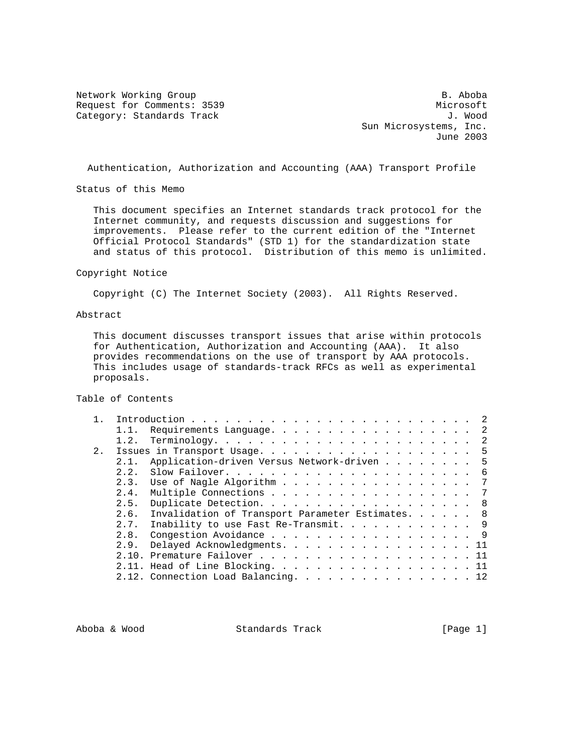Network Working Group and the set of the set of the set of the set of the set of the set of the set of the set of the set of the set of the set of the set of the set of the set of the set of the set of the set of the set o Request for Comments: 3539 Microsoft Microsoft Microsoft (1989) Microsoft (1989) Microsoft (1989) Microsoft (1<br>
Category: Standards Track Category: Standards Track

 Sun Microsystems, Inc. June 2003

Authentication, Authorization and Accounting (AAA) Transport Profile

Status of this Memo

 This document specifies an Internet standards track protocol for the Internet community, and requests discussion and suggestions for improvements. Please refer to the current edition of the "Internet Official Protocol Standards" (STD 1) for the standardization state and status of this protocol. Distribution of this memo is unlimited.

Copyright Notice

Copyright (C) The Internet Society (2003). All Rights Reserved.

#### Abstract

 This document discusses transport issues that arise within protocols for Authentication, Authorization and Accounting (AAA). It also provides recommendations on the use of transport by AAA protocols. This includes usage of standards-track RFCs as well as experimental proposals.

Table of Contents

|                |      | Requirements Language. 2                              |
|----------------|------|-------------------------------------------------------|
|                |      |                                                       |
| 2 <sub>1</sub> |      | Issues in Transport Usage. 5                          |
|                | 2.1. | Application-driven Versus Network-driven 5            |
|                |      |                                                       |
|                |      | 2.3. Use of Nagle Algorithm 7                         |
|                | 2.4. | Multiple Connections 7                                |
|                | 2.5. | Duplicate Detection. 8                                |
|                |      | 2.6. Invalidation of Transport Parameter Estimates. 8 |
|                |      | 2.7. Inability to use Fast Re-Transmit. 9             |
|                |      | 2.8. Congestion Avoidance 9                           |
|                |      | 2.9. Delayed Acknowledgments. 11                      |
|                |      | 2.10. Premature Failover 11                           |
|                |      | 2.11. Head of Line Blocking. 11                       |
|                |      | 2.12. Connection Load Balancing. 12                   |
|                |      |                                                       |

Aboba & Wood Standards Track [Page 1]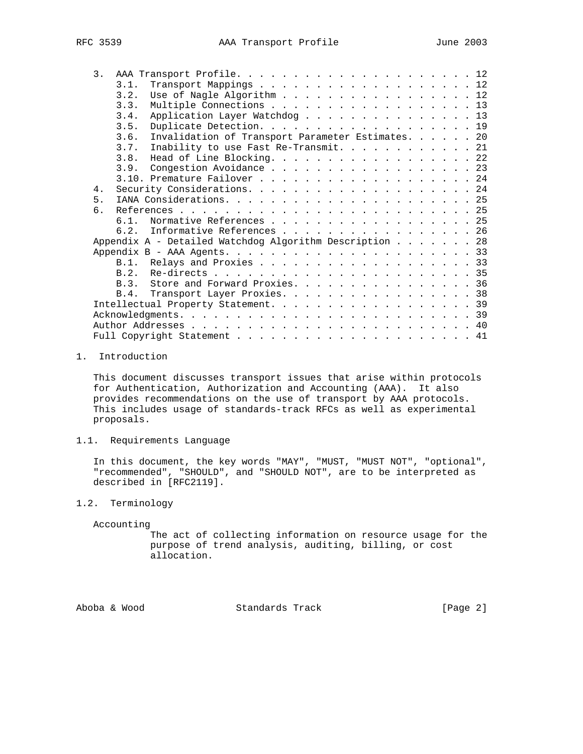| $\overline{3}$ . |      |                                                         |  |  |  |  |
|------------------|------|---------------------------------------------------------|--|--|--|--|
|                  | 3.1. | Transport Mappings 12                                   |  |  |  |  |
|                  | 3.2. | Use of Nagle Algorithm 12                               |  |  |  |  |
|                  | 3.3. | Multiple Connections 13                                 |  |  |  |  |
|                  | 3.4. | Application Layer Watchdog 13                           |  |  |  |  |
|                  | 3.5. | Duplicate Detection. 19                                 |  |  |  |  |
|                  | 3.6. | Invalidation of Transport Parameter Estimates. 20       |  |  |  |  |
|                  | 3.7. | Inability to use Fast Re-Transmit. 21                   |  |  |  |  |
|                  |      | 3.8. Head of Line Blocking. 22                          |  |  |  |  |
|                  |      | 3.9. Congestion Avoidance 23                            |  |  |  |  |
|                  |      | 3.10. Premature Failover 24                             |  |  |  |  |
| 4.               |      |                                                         |  |  |  |  |
| 5.               |      |                                                         |  |  |  |  |
| б.               |      |                                                         |  |  |  |  |
|                  |      | 6.1. Normative References 25                            |  |  |  |  |
|                  |      | 6.2. Informative References 26                          |  |  |  |  |
|                  |      | Appendix A - Detailed Watchdog Algorithm Description 28 |  |  |  |  |
|                  |      |                                                         |  |  |  |  |
|                  |      | B.1. Relays and Proxies 33                              |  |  |  |  |
|                  |      |                                                         |  |  |  |  |
|                  |      | B.3. Store and Forward Proxies. 36                      |  |  |  |  |
|                  |      | B.4. Transport Layer Proxies. 38                        |  |  |  |  |
|                  |      | Intellectual Property Statement. 39                     |  |  |  |  |
|                  |      |                                                         |  |  |  |  |
|                  |      |                                                         |  |  |  |  |
|                  |      |                                                         |  |  |  |  |
|                  |      |                                                         |  |  |  |  |

#### 1. Introduction

 This document discusses transport issues that arise within protocols for Authentication, Authorization and Accounting (AAA). It also provides recommendations on the use of transport by AAA protocols. This includes usage of standards-track RFCs as well as experimental proposals.

1.1. Requirements Language

 In this document, the key words "MAY", "MUST, "MUST NOT", "optional", "recommended", "SHOULD", and "SHOULD NOT", are to be interpreted as described in [RFC2119].

1.2. Terminology

Accounting

 The act of collecting information on resource usage for the purpose of trend analysis, auditing, billing, or cost allocation.

Aboba & Wood Standards Track [Page 2]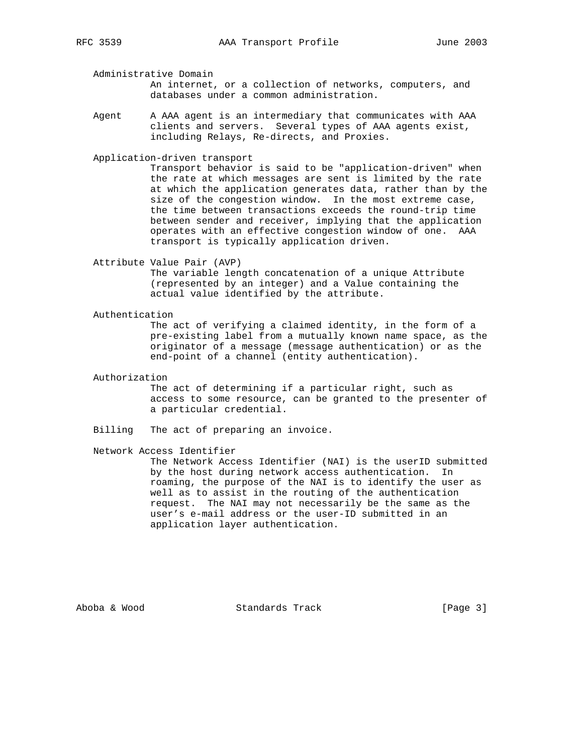Administrative Domain

 An internet, or a collection of networks, computers, and databases under a common administration.

 Agent A AAA agent is an intermediary that communicates with AAA clients and servers. Several types of AAA agents exist, including Relays, Re-directs, and Proxies.

Application-driven transport

 Transport behavior is said to be "application-driven" when the rate at which messages are sent is limited by the rate at which the application generates data, rather than by the size of the congestion window. In the most extreme case, the time between transactions exceeds the round-trip time between sender and receiver, implying that the application operates with an effective congestion window of one. AAA transport is typically application driven.

Attribute Value Pair (AVP)

 The variable length concatenation of a unique Attribute (represented by an integer) and a Value containing the actual value identified by the attribute.

Authentication

 The act of verifying a claimed identity, in the form of a pre-existing label from a mutually known name space, as the originator of a message (message authentication) or as the end-point of a channel (entity authentication).

Authorization

 The act of determining if a particular right, such as access to some resource, can be granted to the presenter of a particular credential.

Billing The act of preparing an invoice.

Network Access Identifier

 The Network Access Identifier (NAI) is the userID submitted by the host during network access authentication. In roaming, the purpose of the NAI is to identify the user as well as to assist in the routing of the authentication request. The NAI may not necessarily be the same as the user's e-mail address or the user-ID submitted in an application layer authentication.

Aboba & Wood Standards Track [Page 3]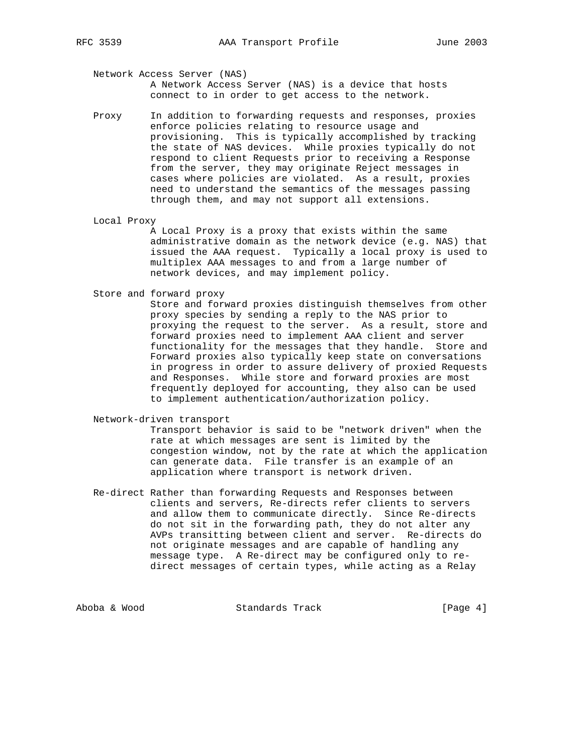# Network Access Server (NAS)

 A Network Access Server (NAS) is a device that hosts connect to in order to get access to the network.

- Proxy In addition to forwarding requests and responses, proxies enforce policies relating to resource usage and provisioning. This is typically accomplished by tracking the state of NAS devices. While proxies typically do not respond to client Requests prior to receiving a Response from the server, they may originate Reject messages in cases where policies are violated. As a result, proxies need to understand the semantics of the messages passing through them, and may not support all extensions.
- Local Proxy

 A Local Proxy is a proxy that exists within the same administrative domain as the network device (e.g. NAS) that issued the AAA request. Typically a local proxy is used to multiplex AAA messages to and from a large number of network devices, and may implement policy.

Store and forward proxy

 Store and forward proxies distinguish themselves from other proxy species by sending a reply to the NAS prior to proxying the request to the server. As a result, store and forward proxies need to implement AAA client and server functionality for the messages that they handle. Store and Forward proxies also typically keep state on conversations in progress in order to assure delivery of proxied Requests and Responses. While store and forward proxies are most frequently deployed for accounting, they also can be used to implement authentication/authorization policy.

# Network-driven transport

 Transport behavior is said to be "network driven" when the rate at which messages are sent is limited by the congestion window, not by the rate at which the application can generate data. File transfer is an example of an application where transport is network driven.

 Re-direct Rather than forwarding Requests and Responses between clients and servers, Re-directs refer clients to servers and allow them to communicate directly. Since Re-directs do not sit in the forwarding path, they do not alter any AVPs transitting between client and server. Re-directs do not originate messages and are capable of handling any message type. A Re-direct may be configured only to re direct messages of certain types, while acting as a Relay

Aboba & Wood Standards Track [Page 4]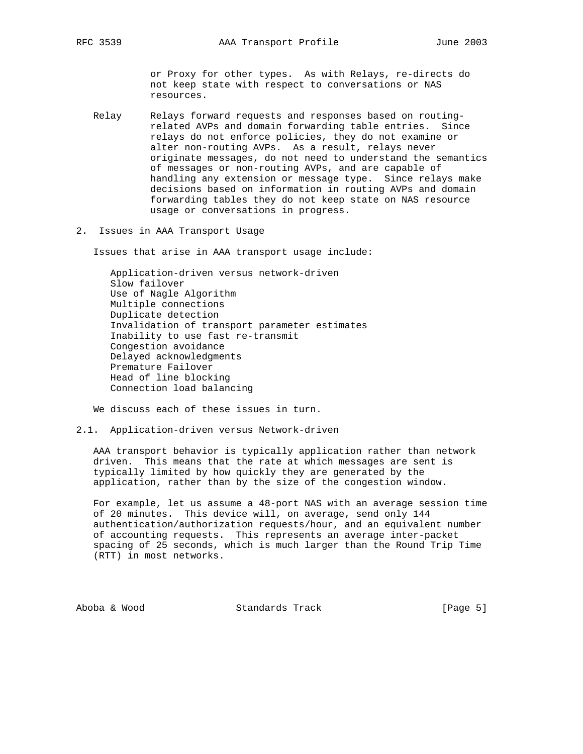or Proxy for other types. As with Relays, re-directs do not keep state with respect to conversations or NAS resources.

- Relay Relays forward requests and responses based on routing related AVPs and domain forwarding table entries. Since relays do not enforce policies, they do not examine or alter non-routing AVPs. As a result, relays never originate messages, do not need to understand the semantics of messages or non-routing AVPs, and are capable of handling any extension or message type. Since relays make decisions based on information in routing AVPs and domain forwarding tables they do not keep state on NAS resource usage or conversations in progress.
- 2. Issues in AAA Transport Usage

Issues that arise in AAA transport usage include:

 Application-driven versus network-driven Slow failover Use of Nagle Algorithm Multiple connections Duplicate detection Invalidation of transport parameter estimates Inability to use fast re-transmit Congestion avoidance Delayed acknowledgments Premature Failover Head of line blocking Connection load balancing

We discuss each of these issues in turn.

2.1. Application-driven versus Network-driven

 AAA transport behavior is typically application rather than network driven. This means that the rate at which messages are sent is typically limited by how quickly they are generated by the application, rather than by the size of the congestion window.

 For example, let us assume a 48-port NAS with an average session time of 20 minutes. This device will, on average, send only 144 authentication/authorization requests/hour, and an equivalent number of accounting requests. This represents an average inter-packet spacing of 25 seconds, which is much larger than the Round Trip Time (RTT) in most networks.

Aboba & Wood Standards Track [Page 5]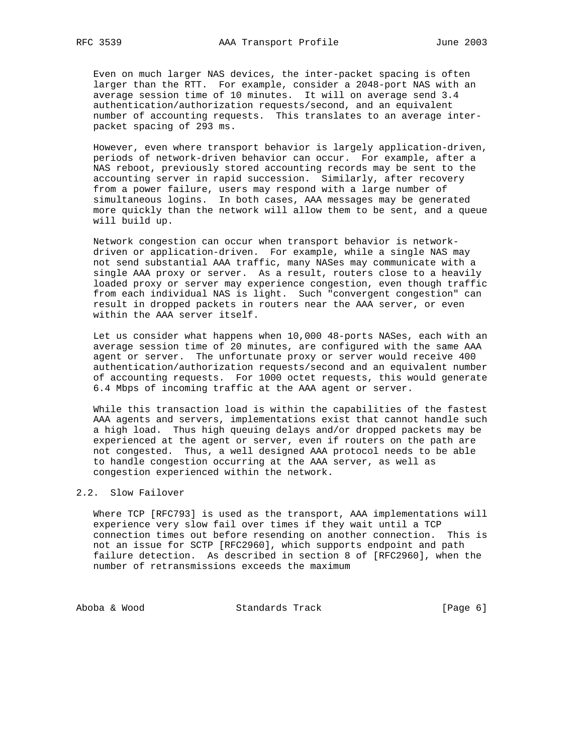Even on much larger NAS devices, the inter-packet spacing is often larger than the RTT. For example, consider a 2048-port NAS with an average session time of 10 minutes. It will on average send 3.4 authentication/authorization requests/second, and an equivalent number of accounting requests. This translates to an average inter packet spacing of 293 ms.

 However, even where transport behavior is largely application-driven, periods of network-driven behavior can occur. For example, after a NAS reboot, previously stored accounting records may be sent to the accounting server in rapid succession. Similarly, after recovery from a power failure, users may respond with a large number of simultaneous logins. In both cases, AAA messages may be generated more quickly than the network will allow them to be sent, and a queue will build up.

 Network congestion can occur when transport behavior is network driven or application-driven. For example, while a single NAS may not send substantial AAA traffic, many NASes may communicate with a single AAA proxy or server. As a result, routers close to a heavily loaded proxy or server may experience congestion, even though traffic from each individual NAS is light. Such "convergent congestion" can result in dropped packets in routers near the AAA server, or even within the AAA server itself.

 Let us consider what happens when 10,000 48-ports NASes, each with an average session time of 20 minutes, are configured with the same AAA agent or server. The unfortunate proxy or server would receive 400 authentication/authorization requests/second and an equivalent number of accounting requests. For 1000 octet requests, this would generate 6.4 Mbps of incoming traffic at the AAA agent or server.

 While this transaction load is within the capabilities of the fastest AAA agents and servers, implementations exist that cannot handle such a high load. Thus high queuing delays and/or dropped packets may be experienced at the agent or server, even if routers on the path are not congested. Thus, a well designed AAA protocol needs to be able to handle congestion occurring at the AAA server, as well as congestion experienced within the network.

#### 2.2. Slow Failover

 Where TCP [RFC793] is used as the transport, AAA implementations will experience very slow fail over times if they wait until a TCP connection times out before resending on another connection. This is not an issue for SCTP [RFC2960], which supports endpoint and path failure detection. As described in section 8 of [RFC2960], when the number of retransmissions exceeds the maximum

Aboba & Wood Standards Track [Page 6]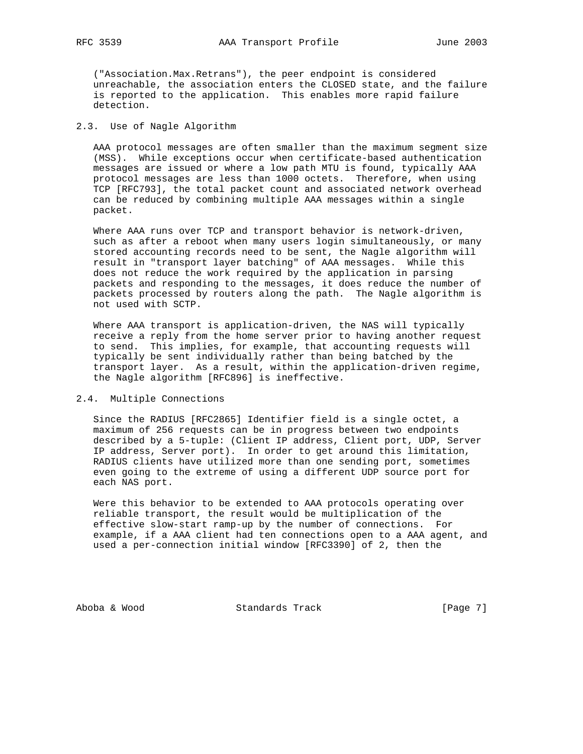("Association.Max.Retrans"), the peer endpoint is considered unreachable, the association enters the CLOSED state, and the failure is reported to the application. This enables more rapid failure detection.

## 2.3. Use of Nagle Algorithm

 AAA protocol messages are often smaller than the maximum segment size (MSS). While exceptions occur when certificate-based authentication messages are issued or where a low path MTU is found, typically AAA protocol messages are less than 1000 octets. Therefore, when using TCP [RFC793], the total packet count and associated network overhead can be reduced by combining multiple AAA messages within a single packet.

 Where AAA runs over TCP and transport behavior is network-driven, such as after a reboot when many users login simultaneously, or many stored accounting records need to be sent, the Nagle algorithm will result in "transport layer batching" of AAA messages. While this does not reduce the work required by the application in parsing packets and responding to the messages, it does reduce the number of packets processed by routers along the path. The Nagle algorithm is not used with SCTP.

 Where AAA transport is application-driven, the NAS will typically receive a reply from the home server prior to having another request to send. This implies, for example, that accounting requests will typically be sent individually rather than being batched by the transport layer. As a result, within the application-driven regime, the Nagle algorithm [RFC896] is ineffective.

#### 2.4. Multiple Connections

 Since the RADIUS [RFC2865] Identifier field is a single octet, a maximum of 256 requests can be in progress between two endpoints described by a 5-tuple: (Client IP address, Client port, UDP, Server IP address, Server port). In order to get around this limitation, RADIUS clients have utilized more than one sending port, sometimes even going to the extreme of using a different UDP source port for each NAS port.

 Were this behavior to be extended to AAA protocols operating over reliable transport, the result would be multiplication of the effective slow-start ramp-up by the number of connections. For example, if a AAA client had ten connections open to a AAA agent, and used a per-connection initial window [RFC3390] of 2, then the

Aboba & Wood Standards Track [Page 7]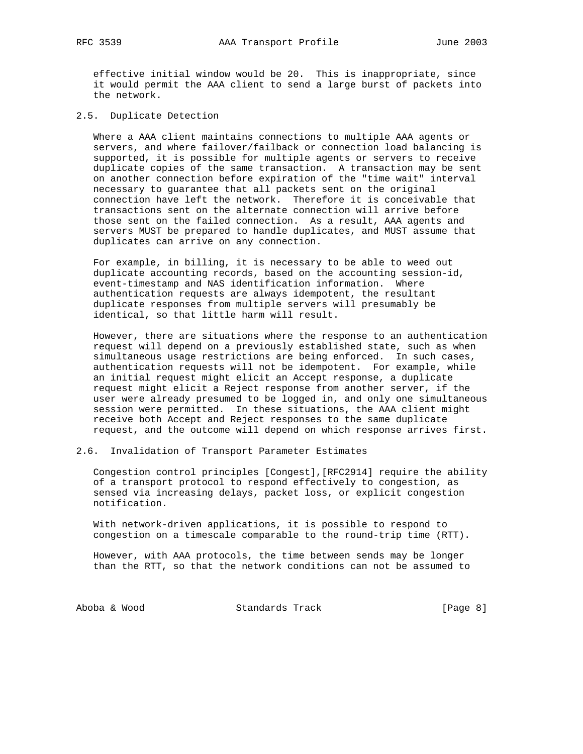effective initial window would be 20. This is inappropriate, since it would permit the AAA client to send a large burst of packets into the network.

2.5. Duplicate Detection

 Where a AAA client maintains connections to multiple AAA agents or servers, and where failover/failback or connection load balancing is supported, it is possible for multiple agents or servers to receive duplicate copies of the same transaction. A transaction may be sent on another connection before expiration of the "time wait" interval necessary to guarantee that all packets sent on the original connection have left the network. Therefore it is conceivable that transactions sent on the alternate connection will arrive before those sent on the failed connection. As a result, AAA agents and servers MUST be prepared to handle duplicates, and MUST assume that duplicates can arrive on any connection.

 For example, in billing, it is necessary to be able to weed out duplicate accounting records, based on the accounting session-id, event-timestamp and NAS identification information. Where authentication requests are always idempotent, the resultant duplicate responses from multiple servers will presumably be identical, so that little harm will result.

 However, there are situations where the response to an authentication request will depend on a previously established state, such as when simultaneous usage restrictions are being enforced. In such cases, authentication requests will not be idempotent. For example, while an initial request might elicit an Accept response, a duplicate request might elicit a Reject response from another server, if the user were already presumed to be logged in, and only one simultaneous session were permitted. In these situations, the AAA client might receive both Accept and Reject responses to the same duplicate request, and the outcome will depend on which response arrives first.

2.6. Invalidation of Transport Parameter Estimates

 Congestion control principles [Congest],[RFC2914] require the ability of a transport protocol to respond effectively to congestion, as sensed via increasing delays, packet loss, or explicit congestion notification.

 With network-driven applications, it is possible to respond to congestion on a timescale comparable to the round-trip time (RTT).

 However, with AAA protocols, the time between sends may be longer than the RTT, so that the network conditions can not be assumed to

Aboba & Wood Standards Track [Page 8]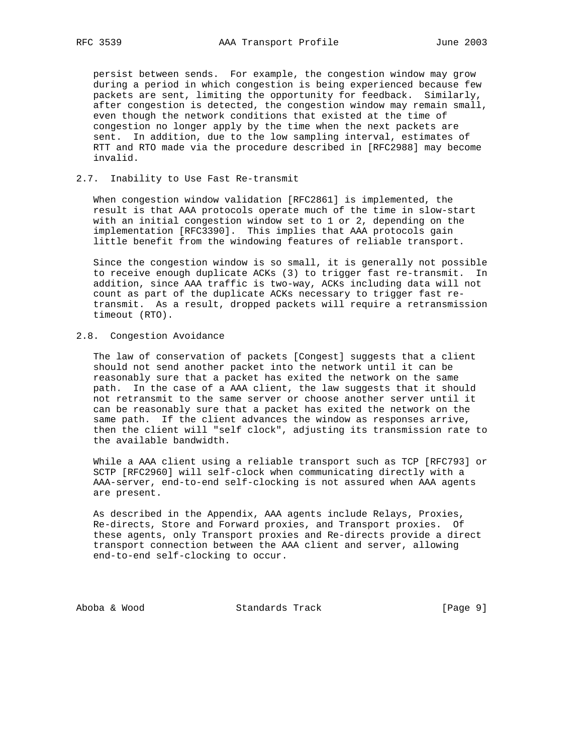persist between sends. For example, the congestion window may grow during a period in which congestion is being experienced because few packets are sent, limiting the opportunity for feedback. Similarly, after congestion is detected, the congestion window may remain small, even though the network conditions that existed at the time of congestion no longer apply by the time when the next packets are sent. In addition, due to the low sampling interval, estimates of RTT and RTO made via the procedure described in [RFC2988] may become invalid.

#### 2.7. Inability to Use Fast Re-transmit

 When congestion window validation [RFC2861] is implemented, the result is that AAA protocols operate much of the time in slow-start with an initial congestion window set to 1 or 2, depending on the implementation [RFC3390]. This implies that AAA protocols gain little benefit from the windowing features of reliable transport.

 Since the congestion window is so small, it is generally not possible to receive enough duplicate ACKs (3) to trigger fast re-transmit. In addition, since AAA traffic is two-way, ACKs including data will not count as part of the duplicate ACKs necessary to trigger fast re transmit. As a result, dropped packets will require a retransmission timeout (RTO).

## 2.8. Congestion Avoidance

 The law of conservation of packets [Congest] suggests that a client should not send another packet into the network until it can be reasonably sure that a packet has exited the network on the same path. In the case of a AAA client, the law suggests that it should not retransmit to the same server or choose another server until it can be reasonably sure that a packet has exited the network on the same path. If the client advances the window as responses arrive, then the client will "self clock", adjusting its transmission rate to the available bandwidth.

 While a AAA client using a reliable transport such as TCP [RFC793] or SCTP [RFC2960] will self-clock when communicating directly with a AAA-server, end-to-end self-clocking is not assured when AAA agents are present.

 As described in the Appendix, AAA agents include Relays, Proxies, Re-directs, Store and Forward proxies, and Transport proxies. Of these agents, only Transport proxies and Re-directs provide a direct transport connection between the AAA client and server, allowing end-to-end self-clocking to occur.

Aboba & Wood Standards Track [Page 9]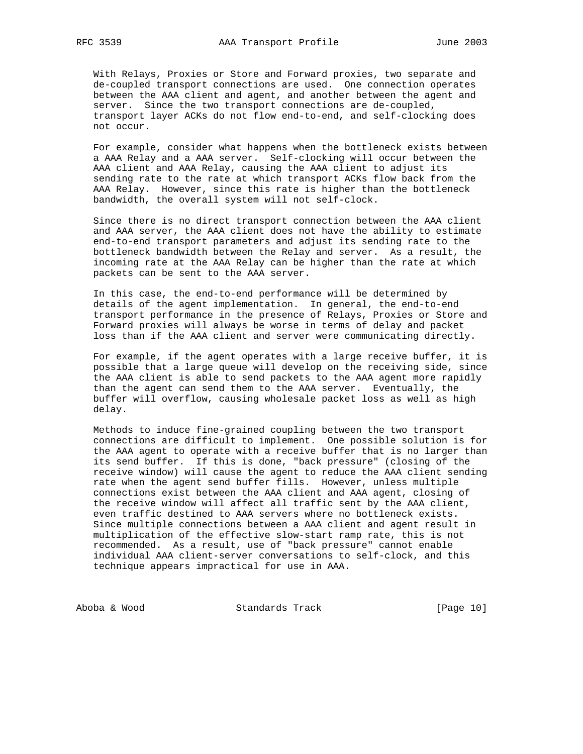With Relays, Proxies or Store and Forward proxies, two separate and de-coupled transport connections are used. One connection operates between the AAA client and agent, and another between the agent and server. Since the two transport connections are de-coupled, transport layer ACKs do not flow end-to-end, and self-clocking does not occur.

 For example, consider what happens when the bottleneck exists between a AAA Relay and a AAA server. Self-clocking will occur between the AAA client and AAA Relay, causing the AAA client to adjust its sending rate to the rate at which transport ACKs flow back from the AAA Relay. However, since this rate is higher than the bottleneck bandwidth, the overall system will not self-clock.

 Since there is no direct transport connection between the AAA client and AAA server, the AAA client does not have the ability to estimate end-to-end transport parameters and adjust its sending rate to the bottleneck bandwidth between the Relay and server. As a result, the incoming rate at the AAA Relay can be higher than the rate at which packets can be sent to the AAA server.

 In this case, the end-to-end performance will be determined by details of the agent implementation. In general, the end-to-end transport performance in the presence of Relays, Proxies or Store and Forward proxies will always be worse in terms of delay and packet loss than if the AAA client and server were communicating directly.

 For example, if the agent operates with a large receive buffer, it is possible that a large queue will develop on the receiving side, since the AAA client is able to send packets to the AAA agent more rapidly than the agent can send them to the AAA server. Eventually, the buffer will overflow, causing wholesale packet loss as well as high delay.

 Methods to induce fine-grained coupling between the two transport connections are difficult to implement. One possible solution is for the AAA agent to operate with a receive buffer that is no larger than its send buffer. If this is done, "back pressure" (closing of the receive window) will cause the agent to reduce the AAA client sending rate when the agent send buffer fills. However, unless multiple connections exist between the AAA client and AAA agent, closing of the receive window will affect all traffic sent by the AAA client, even traffic destined to AAA servers where no bottleneck exists. Since multiple connections between a AAA client and agent result in multiplication of the effective slow-start ramp rate, this is not recommended. As a result, use of "back pressure" cannot enable individual AAA client-server conversations to self-clock, and this technique appears impractical for use in AAA.

Aboba & Wood Standards Track [Page 10]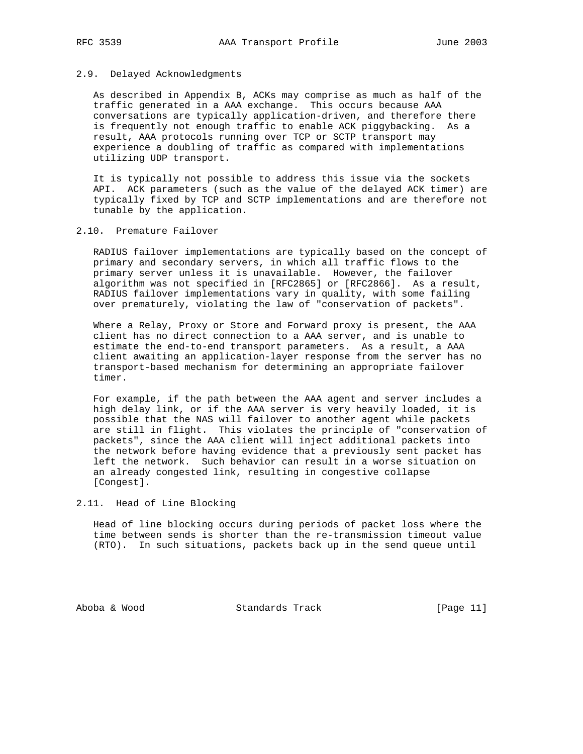## 2.9. Delayed Acknowledgments

 As described in Appendix B, ACKs may comprise as much as half of the traffic generated in a AAA exchange. This occurs because AAA conversations are typically application-driven, and therefore there is frequently not enough traffic to enable ACK piggybacking. As a result, AAA protocols running over TCP or SCTP transport may experience a doubling of traffic as compared with implementations utilizing UDP transport.

 It is typically not possible to address this issue via the sockets API. ACK parameters (such as the value of the delayed ACK timer) are typically fixed by TCP and SCTP implementations and are therefore not tunable by the application.

#### 2.10. Premature Failover

 RADIUS failover implementations are typically based on the concept of primary and secondary servers, in which all traffic flows to the primary server unless it is unavailable. However, the failover algorithm was not specified in [RFC2865] or [RFC2866]. As a result, RADIUS failover implementations vary in quality, with some failing over prematurely, violating the law of "conservation of packets".

 Where a Relay, Proxy or Store and Forward proxy is present, the AAA client has no direct connection to a AAA server, and is unable to estimate the end-to-end transport parameters. As a result, a AAA client awaiting an application-layer response from the server has no transport-based mechanism for determining an appropriate failover timer.

 For example, if the path between the AAA agent and server includes a high delay link, or if the AAA server is very heavily loaded, it is possible that the NAS will failover to another agent while packets are still in flight. This violates the principle of "conservation of packets", since the AAA client will inject additional packets into the network before having evidence that a previously sent packet has left the network. Such behavior can result in a worse situation on an already congested link, resulting in congestive collapse [Congest].

# 2.11. Head of Line Blocking

 Head of line blocking occurs during periods of packet loss where the time between sends is shorter than the re-transmission timeout value (RTO). In such situations, packets back up in the send queue until

Aboba & Wood Standards Track [Page 11]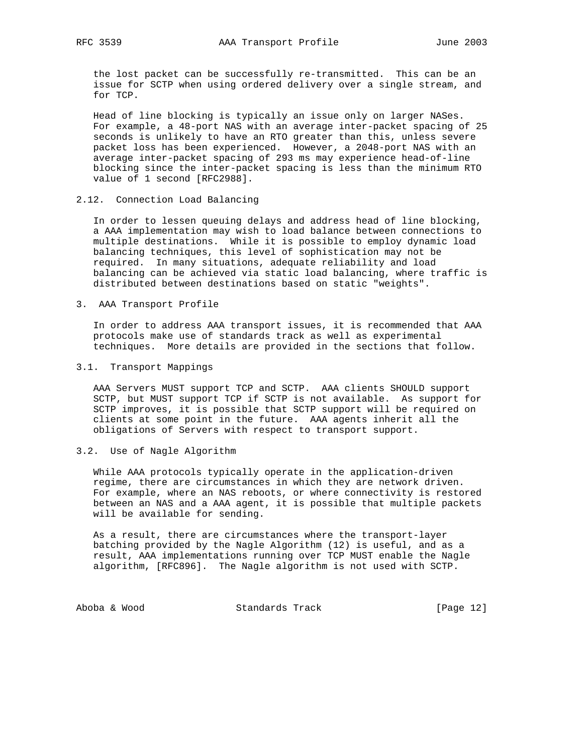the lost packet can be successfully re-transmitted. This can be an issue for SCTP when using ordered delivery over a single stream, and for TCP.

 Head of line blocking is typically an issue only on larger NASes. For example, a 48-port NAS with an average inter-packet spacing of 25 seconds is unlikely to have an RTO greater than this, unless severe packet loss has been experienced. However, a 2048-port NAS with an average inter-packet spacing of 293 ms may experience head-of-line blocking since the inter-packet spacing is less than the minimum RTO value of 1 second [RFC2988].

#### 2.12. Connection Load Balancing

 In order to lessen queuing delays and address head of line blocking, a AAA implementation may wish to load balance between connections to multiple destinations. While it is possible to employ dynamic load balancing techniques, this level of sophistication may not be required. In many situations, adequate reliability and load balancing can be achieved via static load balancing, where traffic is distributed between destinations based on static "weights".

3. AAA Transport Profile

 In order to address AAA transport issues, it is recommended that AAA protocols make use of standards track as well as experimental techniques. More details are provided in the sections that follow.

#### 3.1. Transport Mappings

 AAA Servers MUST support TCP and SCTP. AAA clients SHOULD support SCTP, but MUST support TCP if SCTP is not available. As support for SCTP improves, it is possible that SCTP support will be required on clients at some point in the future. AAA agents inherit all the obligations of Servers with respect to transport support.

## 3.2. Use of Nagle Algorithm

 While AAA protocols typically operate in the application-driven regime, there are circumstances in which they are network driven. For example, where an NAS reboots, or where connectivity is restored between an NAS and a AAA agent, it is possible that multiple packets will be available for sending.

 As a result, there are circumstances where the transport-layer batching provided by the Nagle Algorithm (12) is useful, and as a result, AAA implementations running over TCP MUST enable the Nagle algorithm, [RFC896]. The Nagle algorithm is not used with SCTP.

Aboba & Wood Standards Track [Page 12]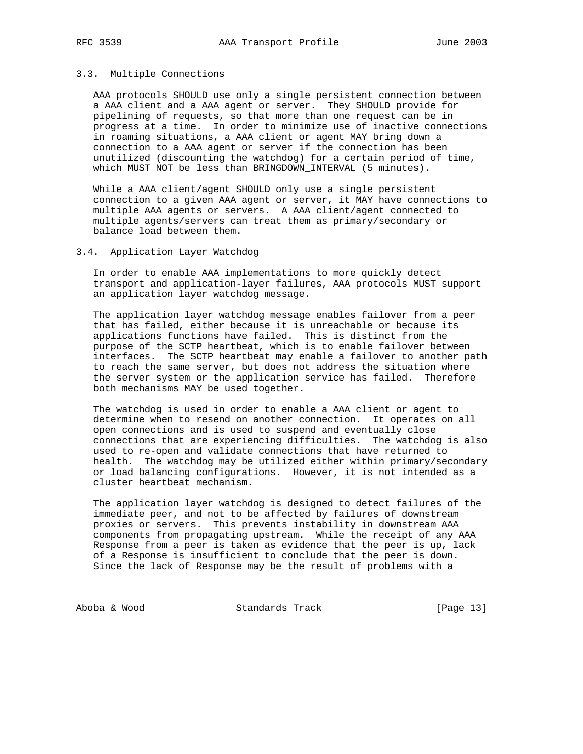# 3.3. Multiple Connections

 AAA protocols SHOULD use only a single persistent connection between a AAA client and a AAA agent or server. They SHOULD provide for pipelining of requests, so that more than one request can be in progress at a time. In order to minimize use of inactive connections in roaming situations, a AAA client or agent MAY bring down a connection to a AAA agent or server if the connection has been unutilized (discounting the watchdog) for a certain period of time, which MUST NOT be less than BRINGDOWN\_INTERVAL (5 minutes).

 While a AAA client/agent SHOULD only use a single persistent connection to a given AAA agent or server, it MAY have connections to multiple AAA agents or servers. A AAA client/agent connected to multiple agents/servers can treat them as primary/secondary or balance load between them.

#### 3.4. Application Layer Watchdog

 In order to enable AAA implementations to more quickly detect transport and application-layer failures, AAA protocols MUST support an application layer watchdog message.

 The application layer watchdog message enables failover from a peer that has failed, either because it is unreachable or because its applications functions have failed. This is distinct from the purpose of the SCTP heartbeat, which is to enable failover between interfaces. The SCTP heartbeat may enable a failover to another path to reach the same server, but does not address the situation where the server system or the application service has failed. Therefore both mechanisms MAY be used together.

 The watchdog is used in order to enable a AAA client or agent to determine when to resend on another connection. It operates on all open connections and is used to suspend and eventually close connections that are experiencing difficulties. The watchdog is also used to re-open and validate connections that have returned to health. The watchdog may be utilized either within primary/secondary or load balancing configurations. However, it is not intended as a cluster heartbeat mechanism.

 The application layer watchdog is designed to detect failures of the immediate peer, and not to be affected by failures of downstream proxies or servers. This prevents instability in downstream AAA components from propagating upstream. While the receipt of any AAA Response from a peer is taken as evidence that the peer is up, lack of a Response is insufficient to conclude that the peer is down. Since the lack of Response may be the result of problems with a

Aboba & Wood Standards Track [Page 13]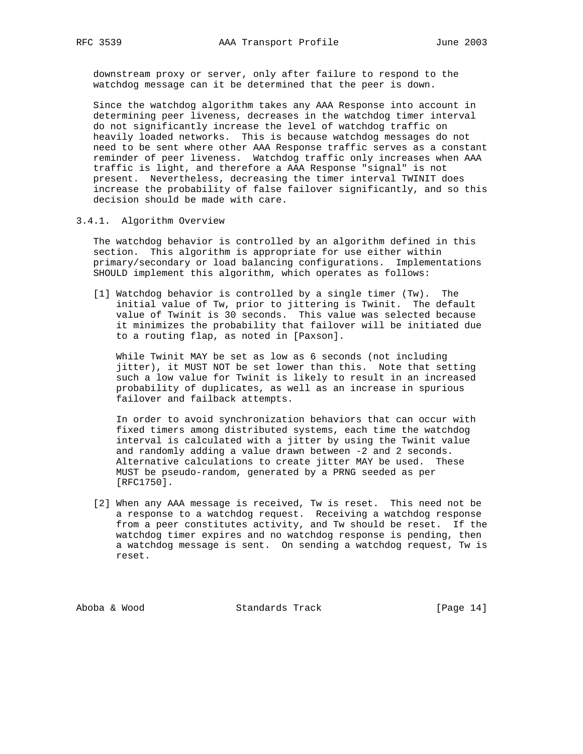downstream proxy or server, only after failure to respond to the watchdog message can it be determined that the peer is down.

 Since the watchdog algorithm takes any AAA Response into account in determining peer liveness, decreases in the watchdog timer interval do not significantly increase the level of watchdog traffic on heavily loaded networks. This is because watchdog messages do not need to be sent where other AAA Response traffic serves as a constant reminder of peer liveness. Watchdog traffic only increases when AAA traffic is light, and therefore a AAA Response "signal" is not present. Nevertheless, decreasing the timer interval TWINIT does increase the probability of false failover significantly, and so this decision should be made with care.

## 3.4.1. Algorithm Overview

 The watchdog behavior is controlled by an algorithm defined in this section. This algorithm is appropriate for use either within primary/secondary or load balancing configurations. Implementations SHOULD implement this algorithm, which operates as follows:

 [1] Watchdog behavior is controlled by a single timer (Tw). The initial value of Tw, prior to jittering is Twinit. The default value of Twinit is 30 seconds. This value was selected because it minimizes the probability that failover will be initiated due to a routing flap, as noted in [Paxson].

 While Twinit MAY be set as low as 6 seconds (not including jitter), it MUST NOT be set lower than this. Note that setting such a low value for Twinit is likely to result in an increased probability of duplicates, as well as an increase in spurious failover and failback attempts.

 In order to avoid synchronization behaviors that can occur with fixed timers among distributed systems, each time the watchdog interval is calculated with a jitter by using the Twinit value and randomly adding a value drawn between -2 and 2 seconds. Alternative calculations to create jitter MAY be used. These MUST be pseudo-random, generated by a PRNG seeded as per [RFC1750].

 [2] When any AAA message is received, Tw is reset. This need not be a response to a watchdog request. Receiving a watchdog response from a peer constitutes activity, and Tw should be reset. If the watchdog timer expires and no watchdog response is pending, then a watchdog message is sent. On sending a watchdog request, Tw is reset.

Aboba & Wood Standards Track [Page 14]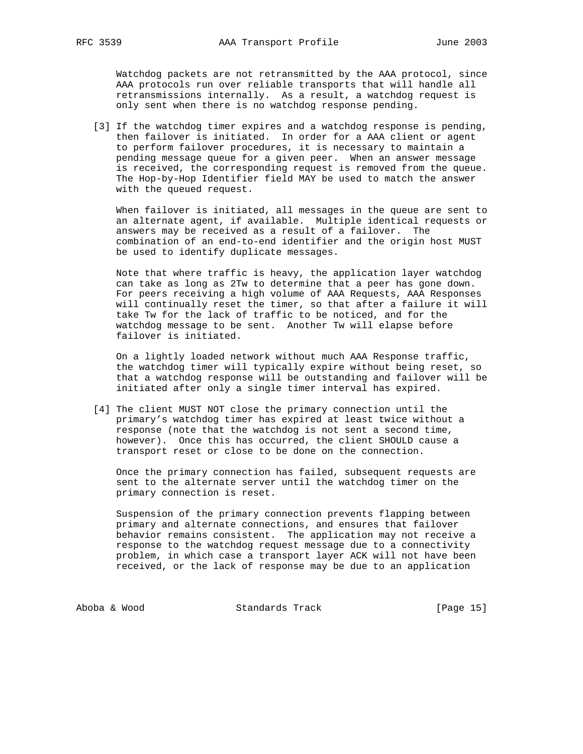Watchdog packets are not retransmitted by the AAA protocol, since AAA protocols run over reliable transports that will handle all retransmissions internally. As a result, a watchdog request is only sent when there is no watchdog response pending.

[3] If the watchdog timer expires and a watchdog response is pending, then failover is initiated. In order for a AAA client or agent to perform failover procedures, it is necessary to maintain a pending message queue for a given peer. When an answer message is received, the corresponding request is removed from the queue. The Hop-by-Hop Identifier field MAY be used to match the answer with the queued request.

 When failover is initiated, all messages in the queue are sent to an alternate agent, if available. Multiple identical requests or answers may be received as a result of a failover. The combination of an end-to-end identifier and the origin host MUST be used to identify duplicate messages.

 Note that where traffic is heavy, the application layer watchdog can take as long as 2Tw to determine that a peer has gone down. For peers receiving a high volume of AAA Requests, AAA Responses will continually reset the timer, so that after a failure it will take Tw for the lack of traffic to be noticed, and for the watchdog message to be sent. Another Tw will elapse before failover is initiated.

 On a lightly loaded network without much AAA Response traffic, the watchdog timer will typically expire without being reset, so that a watchdog response will be outstanding and failover will be initiated after only a single timer interval has expired.

 [4] The client MUST NOT close the primary connection until the primary's watchdog timer has expired at least twice without a response (note that the watchdog is not sent a second time, however). Once this has occurred, the client SHOULD cause a transport reset or close to be done on the connection.

 Once the primary connection has failed, subsequent requests are sent to the alternate server until the watchdog timer on the primary connection is reset.

 Suspension of the primary connection prevents flapping between primary and alternate connections, and ensures that failover behavior remains consistent. The application may not receive a response to the watchdog request message due to a connectivity problem, in which case a transport layer ACK will not have been received, or the lack of response may be due to an application

Aboba & Wood Standards Track [Page 15]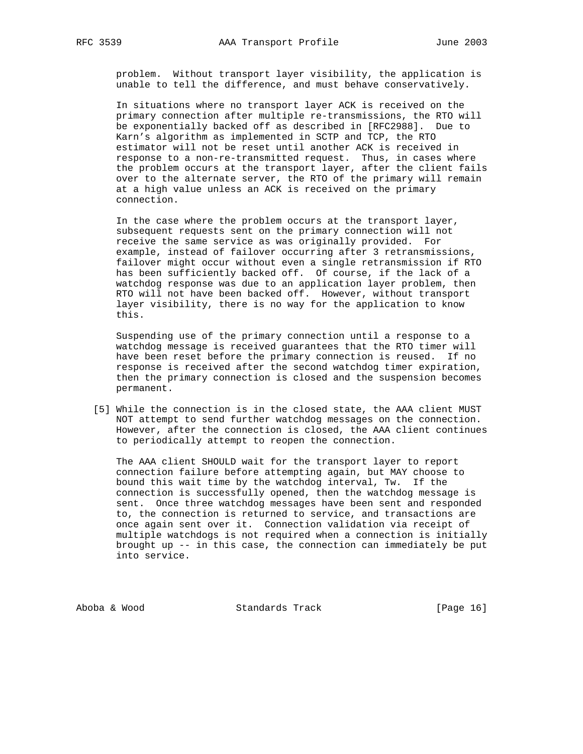problem. Without transport layer visibility, the application is unable to tell the difference, and must behave conservatively.

 In situations where no transport layer ACK is received on the primary connection after multiple re-transmissions, the RTO will be exponentially backed off as described in [RFC2988]. Due to Karn's algorithm as implemented in SCTP and TCP, the RTO estimator will not be reset until another ACK is received in response to a non-re-transmitted request. Thus, in cases where the problem occurs at the transport layer, after the client fails over to the alternate server, the RTO of the primary will remain at a high value unless an ACK is received on the primary connection.

 In the case where the problem occurs at the transport layer, subsequent requests sent on the primary connection will not receive the same service as was originally provided. For example, instead of failover occurring after 3 retransmissions, failover might occur without even a single retransmission if RTO has been sufficiently backed off. Of course, if the lack of a watchdog response was due to an application layer problem, then RTO will not have been backed off. However, without transport layer visibility, there is no way for the application to know this.

 Suspending use of the primary connection until a response to a watchdog message is received guarantees that the RTO timer will have been reset before the primary connection is reused. If no response is received after the second watchdog timer expiration, then the primary connection is closed and the suspension becomes permanent.

 [5] While the connection is in the closed state, the AAA client MUST NOT attempt to send further watchdog messages on the connection. However, after the connection is closed, the AAA client continues to periodically attempt to reopen the connection.

 The AAA client SHOULD wait for the transport layer to report connection failure before attempting again, but MAY choose to bound this wait time by the watchdog interval, Tw. If the connection is successfully opened, then the watchdog message is sent. Once three watchdog messages have been sent and responded to, the connection is returned to service, and transactions are once again sent over it. Connection validation via receipt of multiple watchdogs is not required when a connection is initially brought up -- in this case, the connection can immediately be put into service.

Aboba & Wood Standards Track [Page 16]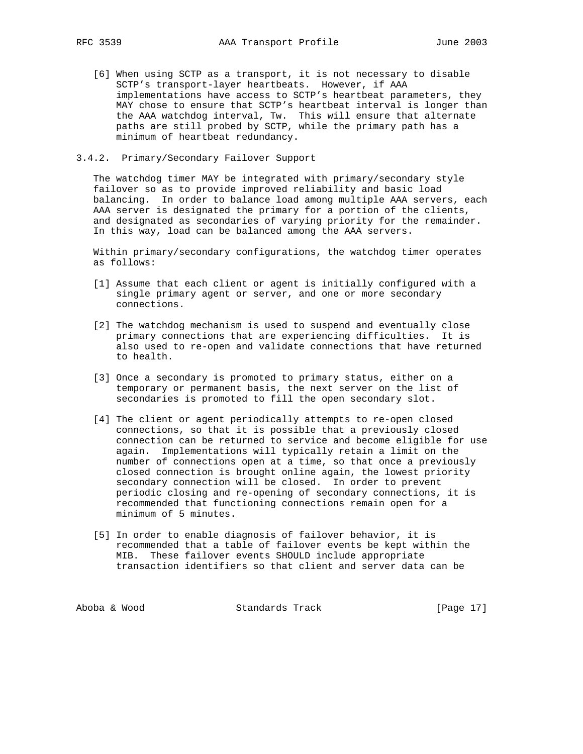[6] When using SCTP as a transport, it is not necessary to disable SCTP's transport-layer heartbeats. However, if AAA implementations have access to SCTP's heartbeat parameters, they MAY chose to ensure that SCTP's heartbeat interval is longer than the AAA watchdog interval, Tw. This will ensure that alternate paths are still probed by SCTP, while the primary path has a minimum of heartbeat redundancy.

#### 3.4.2. Primary/Secondary Failover Support

 The watchdog timer MAY be integrated with primary/secondary style failover so as to provide improved reliability and basic load balancing. In order to balance load among multiple AAA servers, each AAA server is designated the primary for a portion of the clients, and designated as secondaries of varying priority for the remainder. In this way, load can be balanced among the AAA servers.

 Within primary/secondary configurations, the watchdog timer operates as follows:

- [1] Assume that each client or agent is initially configured with a single primary agent or server, and one or more secondary connections.
- [2] The watchdog mechanism is used to suspend and eventually close primary connections that are experiencing difficulties. It is also used to re-open and validate connections that have returned to health.
- [3] Once a secondary is promoted to primary status, either on a temporary or permanent basis, the next server on the list of secondaries is promoted to fill the open secondary slot.
- [4] The client or agent periodically attempts to re-open closed connections, so that it is possible that a previously closed connection can be returned to service and become eligible for use again. Implementations will typically retain a limit on the number of connections open at a time, so that once a previously closed connection is brought online again, the lowest priority secondary connection will be closed. In order to prevent periodic closing and re-opening of secondary connections, it is recommended that functioning connections remain open for a minimum of 5 minutes.
- [5] In order to enable diagnosis of failover behavior, it is recommended that a table of failover events be kept within the MIB. These failover events SHOULD include appropriate transaction identifiers so that client and server data can be

Aboba & Wood Standards Track [Page 17]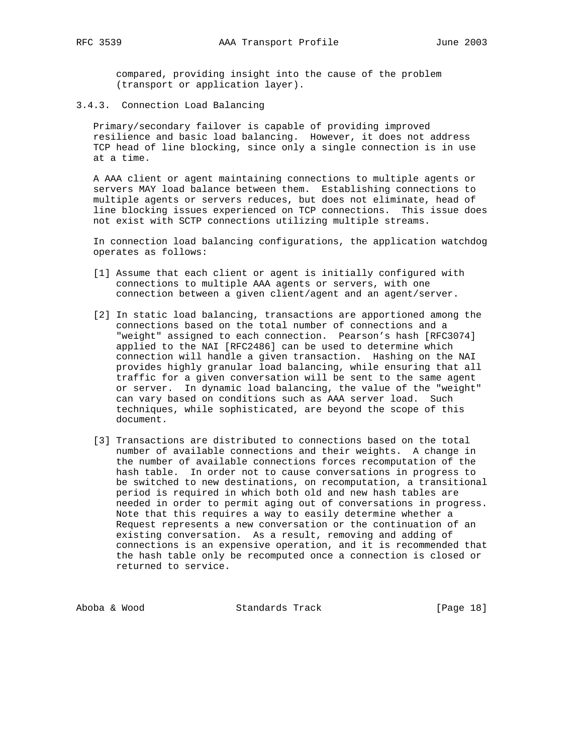compared, providing insight into the cause of the problem (transport or application layer).

3.4.3. Connection Load Balancing

 Primary/secondary failover is capable of providing improved resilience and basic load balancing. However, it does not address TCP head of line blocking, since only a single connection is in use at a time.

 A AAA client or agent maintaining connections to multiple agents or servers MAY load balance between them. Establishing connections to multiple agents or servers reduces, but does not eliminate, head of line blocking issues experienced on TCP connections. This issue does not exist with SCTP connections utilizing multiple streams.

 In connection load balancing configurations, the application watchdog operates as follows:

- [1] Assume that each client or agent is initially configured with connections to multiple AAA agents or servers, with one connection between a given client/agent and an agent/server.
- [2] In static load balancing, transactions are apportioned among the connections based on the total number of connections and a "weight" assigned to each connection. Pearson's hash [RFC3074] applied to the NAI [RFC2486] can be used to determine which connection will handle a given transaction. Hashing on the NAI provides highly granular load balancing, while ensuring that all traffic for a given conversation will be sent to the same agent or server. In dynamic load balancing, the value of the "weight" can vary based on conditions such as AAA server load. Such techniques, while sophisticated, are beyond the scope of this document.
- [3] Transactions are distributed to connections based on the total number of available connections and their weights. A change in the number of available connections forces recomputation of the hash table. In order not to cause conversations in progress to be switched to new destinations, on recomputation, a transitional period is required in which both old and new hash tables are needed in order to permit aging out of conversations in progress. Note that this requires a way to easily determine whether a Request represents a new conversation or the continuation of an existing conversation. As a result, removing and adding of connections is an expensive operation, and it is recommended that the hash table only be recomputed once a connection is closed or returned to service.

Aboba & Wood Standards Track [Page 18]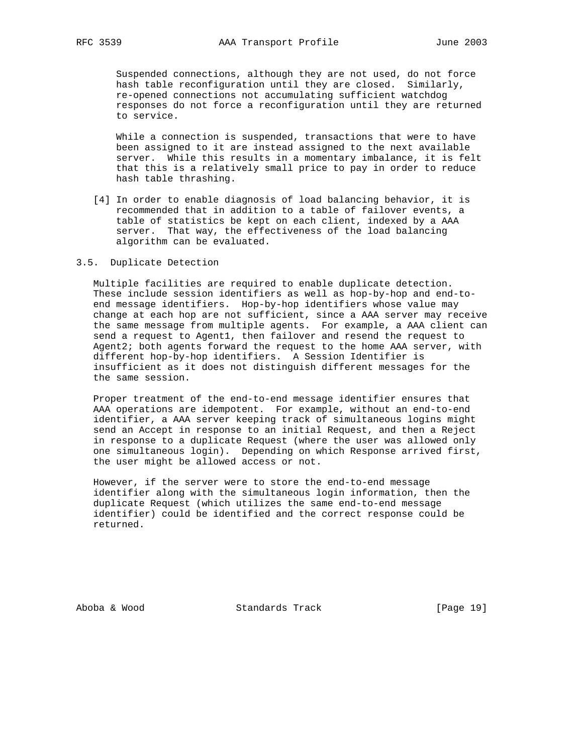Suspended connections, although they are not used, do not force hash table reconfiguration until they are closed. Similarly, re-opened connections not accumulating sufficient watchdog responses do not force a reconfiguration until they are returned to service.

 While a connection is suspended, transactions that were to have been assigned to it are instead assigned to the next available server. While this results in a momentary imbalance, it is felt that this is a relatively small price to pay in order to reduce hash table thrashing.

 [4] In order to enable diagnosis of load balancing behavior, it is recommended that in addition to a table of failover events, a table of statistics be kept on each client, indexed by a AAA server. That way, the effectiveness of the load balancing algorithm can be evaluated.

#### 3.5. Duplicate Detection

 Multiple facilities are required to enable duplicate detection. These include session identifiers as well as hop-by-hop and end-to end message identifiers. Hop-by-hop identifiers whose value may change at each hop are not sufficient, since a AAA server may receive the same message from multiple agents. For example, a AAA client can send a request to Agent1, then failover and resend the request to Agent2; both agents forward the request to the home AAA server, with different hop-by-hop identifiers. A Session Identifier is insufficient as it does not distinguish different messages for the the same session.

 Proper treatment of the end-to-end message identifier ensures that AAA operations are idempotent. For example, without an end-to-end identifier, a AAA server keeping track of simultaneous logins might send an Accept in response to an initial Request, and then a Reject in response to a duplicate Request (where the user was allowed only one simultaneous login). Depending on which Response arrived first, the user might be allowed access or not.

 However, if the server were to store the end-to-end message identifier along with the simultaneous login information, then the duplicate Request (which utilizes the same end-to-end message identifier) could be identified and the correct response could be returned.

Aboba & Wood Standards Track [Page 19]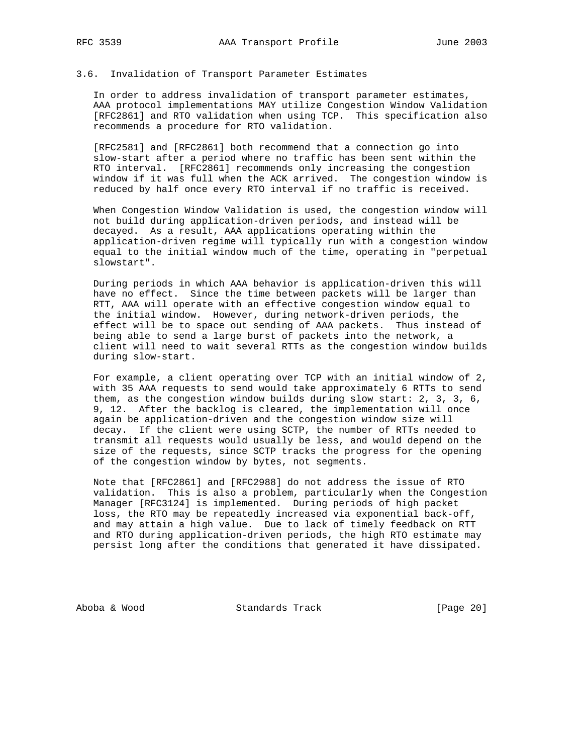## 3.6. Invalidation of Transport Parameter Estimates

 In order to address invalidation of transport parameter estimates, AAA protocol implementations MAY utilize Congestion Window Validation [RFC2861] and RTO validation when using TCP. This specification also recommends a procedure for RTO validation.

 [RFC2581] and [RFC2861] both recommend that a connection go into slow-start after a period where no traffic has been sent within the RTO interval. [RFC2861] recommends only increasing the congestion window if it was full when the ACK arrived. The congestion window is reduced by half once every RTO interval if no traffic is received.

 When Congestion Window Validation is used, the congestion window will not build during application-driven periods, and instead will be decayed. As a result, AAA applications operating within the application-driven regime will typically run with a congestion window equal to the initial window much of the time, operating in "perpetual slowstart".

 During periods in which AAA behavior is application-driven this will have no effect. Since the time between packets will be larger than RTT, AAA will operate with an effective congestion window equal to the initial window. However, during network-driven periods, the effect will be to space out sending of AAA packets. Thus instead of being able to send a large burst of packets into the network, a client will need to wait several RTTs as the congestion window builds during slow-start.

 For example, a client operating over TCP with an initial window of 2, with 35 AAA requests to send would take approximately 6 RTTs to send them, as the congestion window builds during slow start: 2, 3, 3, 6, 9, 12. After the backlog is cleared, the implementation will once again be application-driven and the congestion window size will decay. If the client were using SCTP, the number of RTTs needed to transmit all requests would usually be less, and would depend on the size of the requests, since SCTP tracks the progress for the opening of the congestion window by bytes, not segments.

 Note that [RFC2861] and [RFC2988] do not address the issue of RTO validation. This is also a problem, particularly when the Congestion Manager [RFC3124] is implemented. During periods of high packet loss, the RTO may be repeatedly increased via exponential back-off, and may attain a high value. Due to lack of timely feedback on RTT and RTO during application-driven periods, the high RTO estimate may persist long after the conditions that generated it have dissipated.

Aboba & Wood Standards Track [Page 20]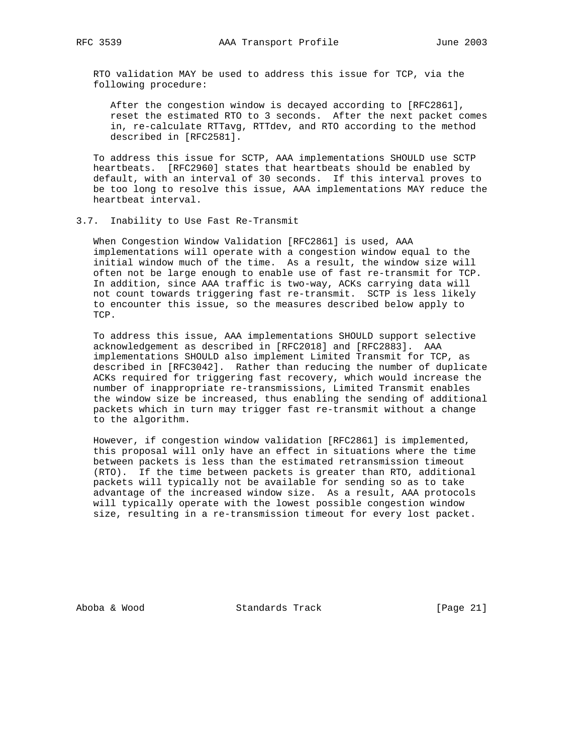RTO validation MAY be used to address this issue for TCP, via the following procedure:

 After the congestion window is decayed according to [RFC2861], reset the estimated RTO to 3 seconds. After the next packet comes in, re-calculate RTTavg, RTTdev, and RTO according to the method described in [RFC2581].

 To address this issue for SCTP, AAA implementations SHOULD use SCTP heartbeats. [RFC2960] states that heartbeats should be enabled by default, with an interval of 30 seconds. If this interval proves to be too long to resolve this issue, AAA implementations MAY reduce the heartbeat interval.

3.7. Inability to Use Fast Re-Transmit

 When Congestion Window Validation [RFC2861] is used, AAA implementations will operate with a congestion window equal to the initial window much of the time. As a result, the window size will often not be large enough to enable use of fast re-transmit for TCP. In addition, since AAA traffic is two-way, ACKs carrying data will not count towards triggering fast re-transmit. SCTP is less likely to encounter this issue, so the measures described below apply to TCP.

 To address this issue, AAA implementations SHOULD support selective acknowledgement as described in [RFC2018] and [RFC2883]. AAA implementations SHOULD also implement Limited Transmit for TCP, as described in [RFC3042]. Rather than reducing the number of duplicate ACKs required for triggering fast recovery, which would increase the number of inappropriate re-transmissions, Limited Transmit enables the window size be increased, thus enabling the sending of additional packets which in turn may trigger fast re-transmit without a change to the algorithm.

 However, if congestion window validation [RFC2861] is implemented, this proposal will only have an effect in situations where the time between packets is less than the estimated retransmission timeout (RTO). If the time between packets is greater than RTO, additional packets will typically not be available for sending so as to take advantage of the increased window size. As a result, AAA protocols will typically operate with the lowest possible congestion window size, resulting in a re-transmission timeout for every lost packet.

Aboba & Wood Standards Track [Page 21]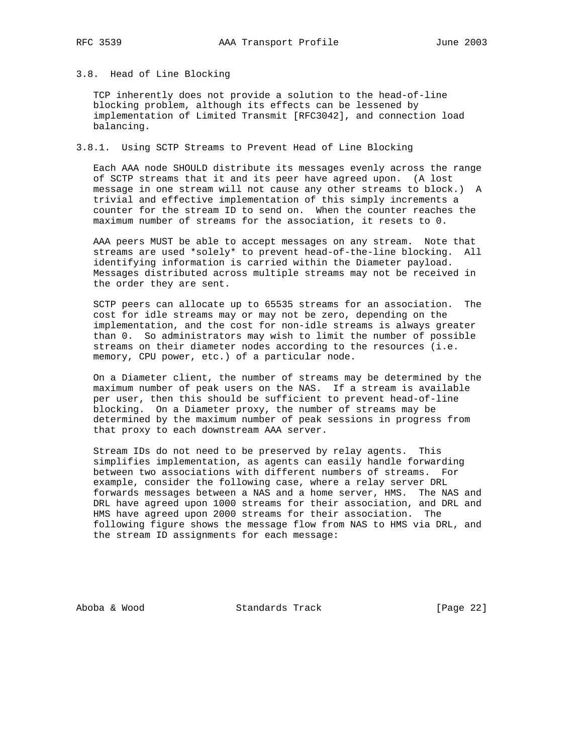# 3.8. Head of Line Blocking

 TCP inherently does not provide a solution to the head-of-line blocking problem, although its effects can be lessened by implementation of Limited Transmit [RFC3042], and connection load balancing.

## 3.8.1. Using SCTP Streams to Prevent Head of Line Blocking

 Each AAA node SHOULD distribute its messages evenly across the range of SCTP streams that it and its peer have agreed upon. (A lost message in one stream will not cause any other streams to block.) A trivial and effective implementation of this simply increments a counter for the stream ID to send on. When the counter reaches the maximum number of streams for the association, it resets to 0.

 AAA peers MUST be able to accept messages on any stream. Note that streams are used \*solely\* to prevent head-of-the-line blocking. All identifying information is carried within the Diameter payload. Messages distributed across multiple streams may not be received in the order they are sent.

 SCTP peers can allocate up to 65535 streams for an association. The cost for idle streams may or may not be zero, depending on the implementation, and the cost for non-idle streams is always greater than 0. So administrators may wish to limit the number of possible streams on their diameter nodes according to the resources (i.e. memory, CPU power, etc.) of a particular node.

 On a Diameter client, the number of streams may be determined by the maximum number of peak users on the NAS. If a stream is available per user, then this should be sufficient to prevent head-of-line blocking. On a Diameter proxy, the number of streams may be determined by the maximum number of peak sessions in progress from that proxy to each downstream AAA server.

 Stream IDs do not need to be preserved by relay agents. This simplifies implementation, as agents can easily handle forwarding between two associations with different numbers of streams. For example, consider the following case, where a relay server DRL forwards messages between a NAS and a home server, HMS. The NAS and DRL have agreed upon 1000 streams for their association, and DRL and HMS have agreed upon 2000 streams for their association. The following figure shows the message flow from NAS to HMS via DRL, and the stream ID assignments for each message:

Aboba & Wood Standards Track [Page 22]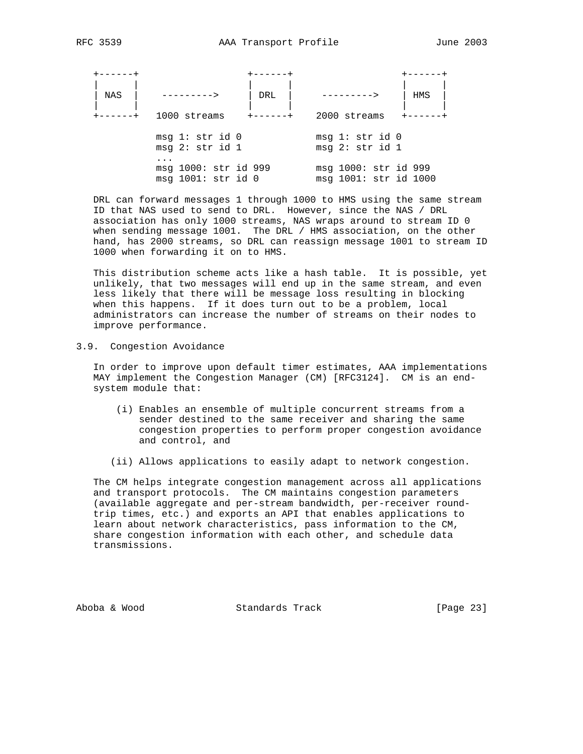| NAS | DRL                                        | HMS                                           |
|-----|--------------------------------------------|-----------------------------------------------|
|     | 1000 streams                               | 2000 streams                                  |
|     | msg 1: str id 0<br>msg 2: str id 1         | msg 1: str id 0<br>msq 2: str id 1            |
|     | msg 1000: str id 999<br>msg 1001: str id 0 | msg 1000: str id 999<br>msg 1001: str id 1000 |

 DRL can forward messages 1 through 1000 to HMS using the same stream ID that NAS used to send to DRL. However, since the NAS / DRL association has only 1000 streams, NAS wraps around to stream ID 0 when sending message 1001. The DRL / HMS association, on the other hand, has 2000 streams, so DRL can reassign message 1001 to stream ID 1000 when forwarding it on to HMS.

 This distribution scheme acts like a hash table. It is possible, yet unlikely, that two messages will end up in the same stream, and even less likely that there will be message loss resulting in blocking when this happens. If it does turn out to be a problem, local administrators can increase the number of streams on their nodes to improve performance.

## 3.9. Congestion Avoidance

 In order to improve upon default timer estimates, AAA implementations MAY implement the Congestion Manager (CM) [RFC3124]. CM is an end system module that:

- (i) Enables an ensemble of multiple concurrent streams from a sender destined to the same receiver and sharing the same congestion properties to perform proper congestion avoidance and control, and
- (ii) Allows applications to easily adapt to network congestion.

 The CM helps integrate congestion management across all applications and transport protocols. The CM maintains congestion parameters (available aggregate and per-stream bandwidth, per-receiver round trip times, etc.) and exports an API that enables applications to learn about network characteristics, pass information to the CM, share congestion information with each other, and schedule data transmissions.

Aboba & Wood Standards Track [Page 23]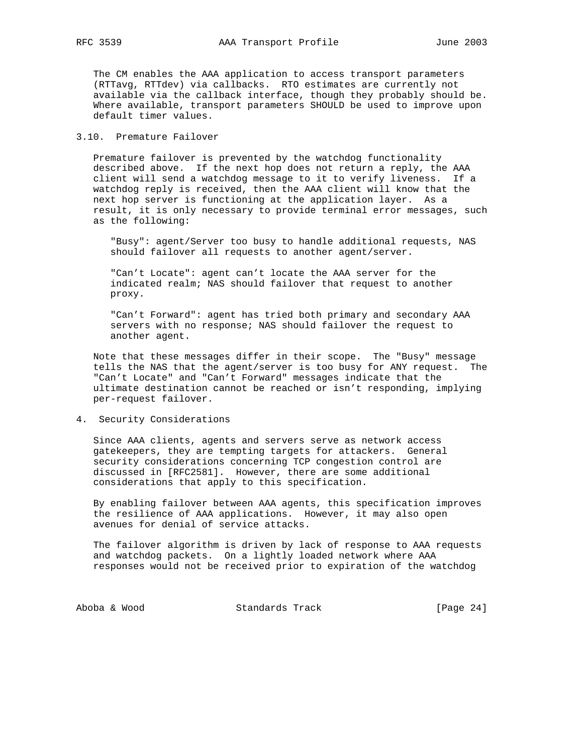The CM enables the AAA application to access transport parameters (RTTavg, RTTdev) via callbacks. RTO estimates are currently not available via the callback interface, though they probably should be. Where available, transport parameters SHOULD be used to improve upon default timer values.

## 3.10. Premature Failover

 Premature failover is prevented by the watchdog functionality described above. If the next hop does not return a reply, the AAA client will send a watchdog message to it to verify liveness. If a watchdog reply is received, then the AAA client will know that the next hop server is functioning at the application layer. As a result, it is only necessary to provide terminal error messages, such as the following:

 "Busy": agent/Server too busy to handle additional requests, NAS should failover all requests to another agent/server.

 "Can't Locate": agent can't locate the AAA server for the indicated realm; NAS should failover that request to another proxy.

 "Can't Forward": agent has tried both primary and secondary AAA servers with no response; NAS should failover the request to another agent.

 Note that these messages differ in their scope. The "Busy" message tells the NAS that the agent/server is too busy for ANY request. The "Can't Locate" and "Can't Forward" messages indicate that the ultimate destination cannot be reached or isn't responding, implying per-request failover.

## 4. Security Considerations

 Since AAA clients, agents and servers serve as network access gatekeepers, they are tempting targets for attackers. General security considerations concerning TCP congestion control are discussed in [RFC2581]. However, there are some additional considerations that apply to this specification.

 By enabling failover between AAA agents, this specification improves the resilience of AAA applications. However, it may also open avenues for denial of service attacks.

 The failover algorithm is driven by lack of response to AAA requests and watchdog packets. On a lightly loaded network where AAA responses would not be received prior to expiration of the watchdog

Aboba & Wood Standards Track [Page 24]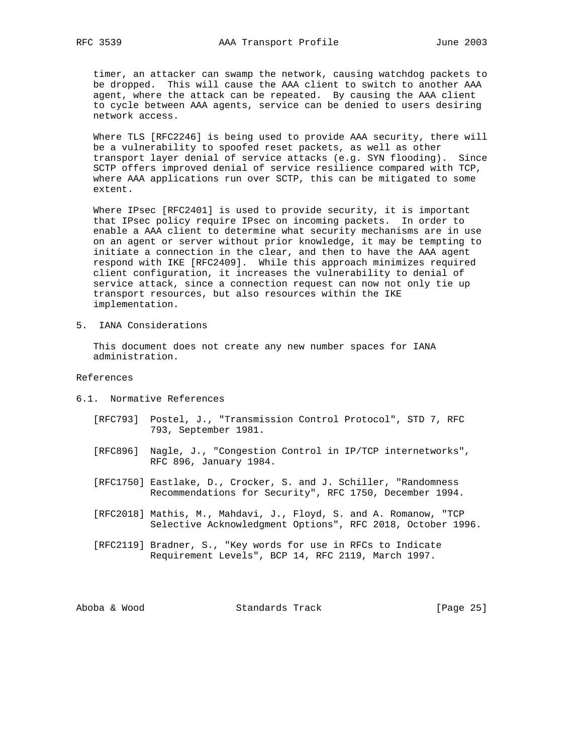timer, an attacker can swamp the network, causing watchdog packets to be dropped. This will cause the AAA client to switch to another AAA agent, where the attack can be repeated. By causing the AAA client to cycle between AAA agents, service can be denied to users desiring network access.

 Where TLS [RFC2246] is being used to provide AAA security, there will be a vulnerability to spoofed reset packets, as well as other transport layer denial of service attacks (e.g. SYN flooding). Since SCTP offers improved denial of service resilience compared with TCP, where AAA applications run over SCTP, this can be mitigated to some extent.

 Where IPsec [RFC2401] is used to provide security, it is important that IPsec policy require IPsec on incoming packets. In order to enable a AAA client to determine what security mechanisms are in use on an agent or server without prior knowledge, it may be tempting to initiate a connection in the clear, and then to have the AAA agent respond with IKE [RFC2409]. While this approach minimizes required client configuration, it increases the vulnerability to denial of service attack, since a connection request can now not only tie up transport resources, but also resources within the IKE implementation.

5. IANA Considerations

 This document does not create any new number spaces for IANA administration.

References

- 6.1. Normative References
	- [RFC793] Postel, J., "Transmission Control Protocol", STD 7, RFC 793, September 1981.
	- [RFC896] Nagle, J., "Congestion Control in IP/TCP internetworks", RFC 896, January 1984.
	- [RFC1750] Eastlake, D., Crocker, S. and J. Schiller, "Randomness Recommendations for Security", RFC 1750, December 1994.
	- [RFC2018] Mathis, M., Mahdavi, J., Floyd, S. and A. Romanow, "TCP Selective Acknowledgment Options", RFC 2018, October 1996.
	- [RFC2119] Bradner, S., "Key words for use in RFCs to Indicate Requirement Levels", BCP 14, RFC 2119, March 1997.

Aboba & Wood Standards Track [Page 25]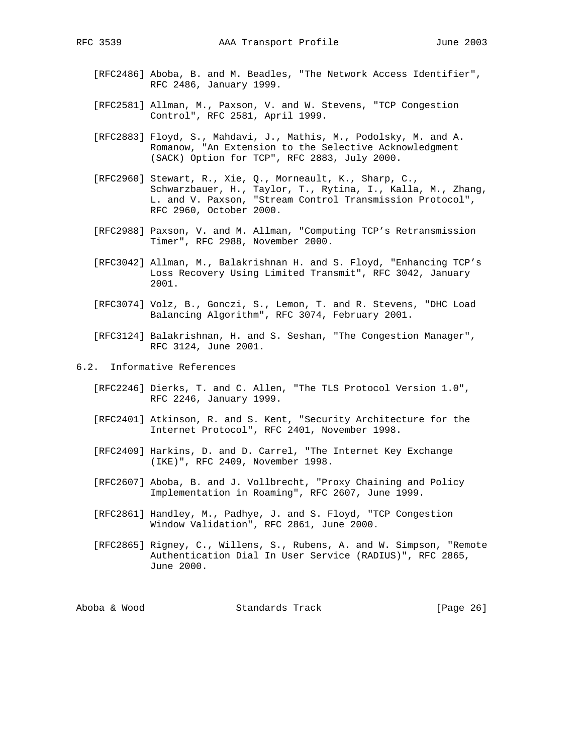- - [RFC2486] Aboba, B. and M. Beadles, "The Network Access Identifier", RFC 2486, January 1999.
	- [RFC2581] Allman, M., Paxson, V. and W. Stevens, "TCP Congestion Control", RFC 2581, April 1999.
	- [RFC2883] Floyd, S., Mahdavi, J., Mathis, M., Podolsky, M. and A. Romanow, "An Extension to the Selective Acknowledgment (SACK) Option for TCP", RFC 2883, July 2000.
	- [RFC2960] Stewart, R., Xie, Q., Morneault, K., Sharp, C., Schwarzbauer, H., Taylor, T., Rytina, I., Kalla, M., Zhang, L. and V. Paxson, "Stream Control Transmission Protocol", RFC 2960, October 2000.
	- [RFC2988] Paxson, V. and M. Allman, "Computing TCP's Retransmission Timer", RFC 2988, November 2000.
	- [RFC3042] Allman, M., Balakrishnan H. and S. Floyd, "Enhancing TCP's Loss Recovery Using Limited Transmit", RFC 3042, January 2001.
	- [RFC3074] Volz, B., Gonczi, S., Lemon, T. and R. Stevens, "DHC Load Balancing Algorithm", RFC 3074, February 2001.
	- [RFC3124] Balakrishnan, H. and S. Seshan, "The Congestion Manager", RFC 3124, June 2001.
- 6.2. Informative References
	- [RFC2246] Dierks, T. and C. Allen, "The TLS Protocol Version 1.0", RFC 2246, January 1999.
	- [RFC2401] Atkinson, R. and S. Kent, "Security Architecture for the Internet Protocol", RFC 2401, November 1998.
	- [RFC2409] Harkins, D. and D. Carrel, "The Internet Key Exchange (IKE)", RFC 2409, November 1998.
	- [RFC2607] Aboba, B. and J. Vollbrecht, "Proxy Chaining and Policy Implementation in Roaming", RFC 2607, June 1999.
	- [RFC2861] Handley, M., Padhye, J. and S. Floyd, "TCP Congestion Window Validation", RFC 2861, June 2000.
	- [RFC2865] Rigney, C., Willens, S., Rubens, A. and W. Simpson, "Remote Authentication Dial In User Service (RADIUS)", RFC 2865, June 2000.

| [Page 26]<br>Aboba & Wood<br>Standards Track |  |  |  |
|----------------------------------------------|--|--|--|
|----------------------------------------------|--|--|--|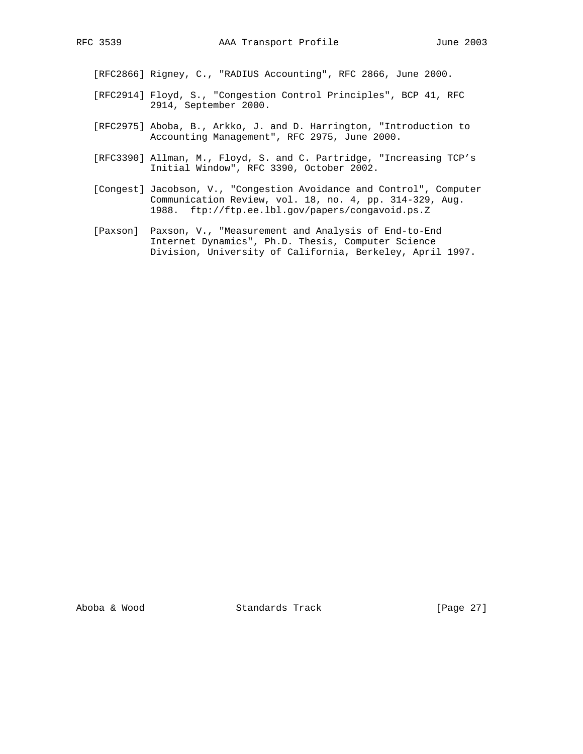[RFC2866] Rigney, C., "RADIUS Accounting", RFC 2866, June 2000.

- [RFC2914] Floyd, S., "Congestion Control Principles", BCP 41, RFC 2914, September 2000.
- [RFC2975] Aboba, B., Arkko, J. and D. Harrington, "Introduction to Accounting Management", RFC 2975, June 2000.
- [RFC3390] Allman, M., Floyd, S. and C. Partridge, "Increasing TCP's Initial Window", RFC 3390, October 2002.
- [Congest] Jacobson, V., "Congestion Avoidance and Control", Computer Communication Review, vol. 18, no. 4, pp. 314-329, Aug. 1988. ftp://ftp.ee.lbl.gov/papers/congavoid.ps.Z
- [Paxson] Paxson, V., "Measurement and Analysis of End-to-End Internet Dynamics", Ph.D. Thesis, Computer Science Division, University of California, Berkeley, April 1997.

Aboba & Wood Standards Track [Page 27]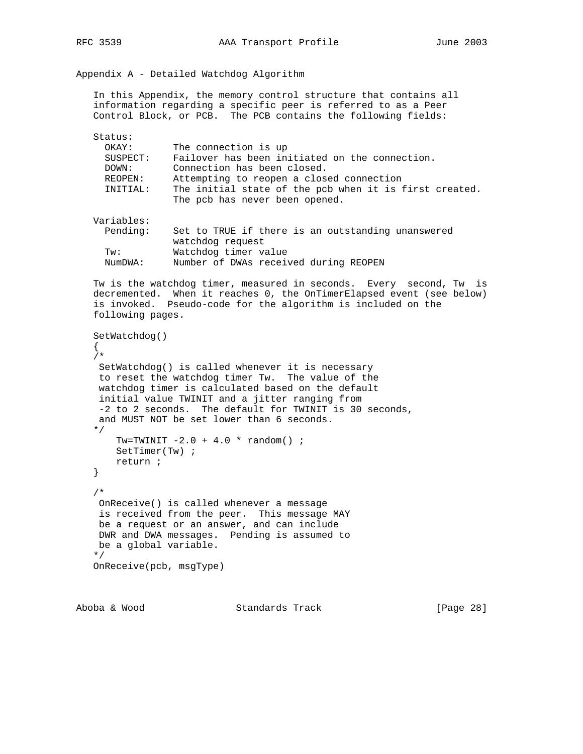Appendix A - Detailed Watchdog Algorithm

 In this Appendix, the memory control structure that contains all information regarding a specific peer is referred to as a Peer Control Block, or PCB. The PCB contains the following fields:

| Status:    |                                                                                          |
|------------|------------------------------------------------------------------------------------------|
| OKAY:      | The connection is up                                                                     |
| SUSPECT:   | Failover has been initiated on the connection.                                           |
| DOWN:      | Connection has been closed.                                                              |
| REOPEN:    | Attempting to reopen a closed connection                                                 |
| INITIAL:   | The initial state of the pcb when it is first created.<br>The pcb has never been opened. |
| Variables: |                                                                                          |
| Pending:   | Set to TRUE if there is an outstanding unanswered<br>watchdog request                    |
| Tw:        | Watchdog timer value                                                                     |

 Tw is the watchdog timer, measured in seconds. Every second, Tw is decremented. When it reaches 0, the OnTimerElapsed event (see below) is invoked. Pseudo-code for the algorithm is included on the following pages.

```
 SetWatchdog()
 {
 /*
 SetWatchdog() is called whenever it is necessary
 to reset the watchdog timer Tw. The value of the
 watchdog timer is calculated based on the default
 initial value TWINIT and a jitter ranging from
 -2 to 2 seconds. The default for TWINIT is 30 seconds,
 and MUST NOT be set lower than 6 seconds.
 */
   Tw=TWINIT -2.0 + 4.0 * \text{random}() ;
   SetTimer(Tw) ;
    return ;
 }
 /*
 OnReceive() is called whenever a message
 is received from the peer. This message MAY
 be a request or an answer, and can include
 DWR and DWA messages. Pending is assumed to
 be a global variable.
 */
 OnReceive(pcb, msgType)
```
NumDWA: Number of DWAs received during REOPEN

Aboba & Wood Standards Track [Page 28]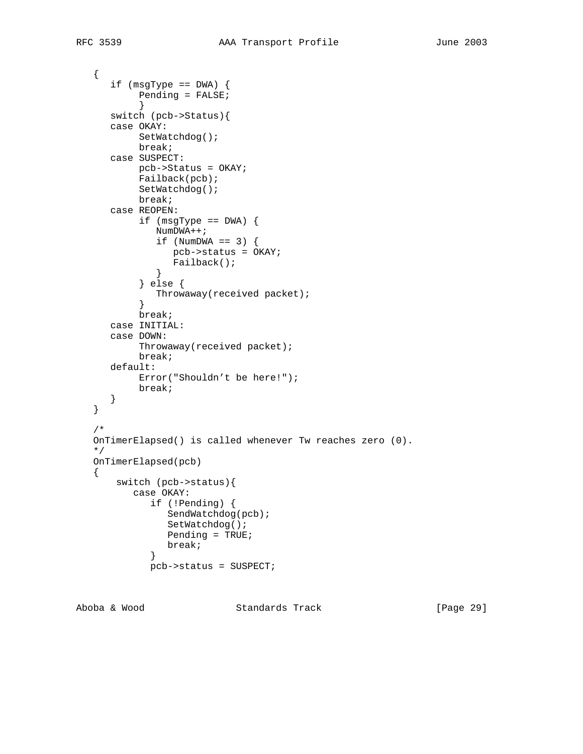```
 {
     if (msgType == DWA) {
           Pending = FALSE;
            }
      switch (pcb->Status){
      case OKAY:
           SetWatchdog();
           break;
      case SUSPECT:
           pcb->Status = OKAY;
           Failback(pcb);
           SetWatchdog();
           break;
      case REOPEN:
          if (msgType == DWA) {
              NumDWA++;
              if (NumDWA == 3) \{ pcb->status = OKAY;
              Failback();<br>}
 }
            } else {
           Throwaway(received packet);<br>}
 }
           break;
      case INITIAL:
       case DOWN:
            Throwaway(received packet);
           break;
      default:
           Error("Shouldn't be here!");
           break;
      }
   }
   /*
   OnTimerElapsed() is called whenever Tw reaches zero (0).
   */
   OnTimerElapsed(pcb)
   {
       switch (pcb->status){
          case OKAY:
              if (!Pending) {
                SendWatchdog(pcb);
                SetWatchdog();
                Pending = TRUE;
             break;
 }
              pcb->status = SUSPECT;
```
Aboba & Wood Standards Track [Page 29]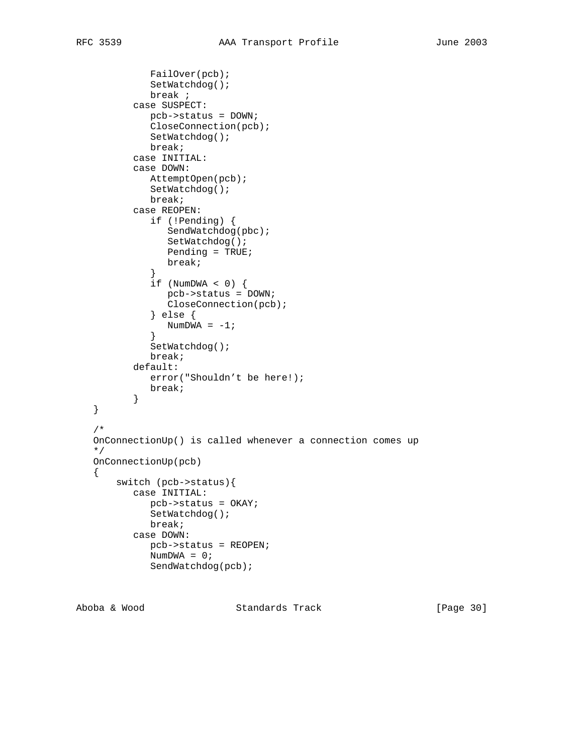```
 FailOver(pcb);
              SetWatchdog();
              break ;
           case SUSPECT:
              pcb->status = DOWN;
              CloseConnection(pcb);
              SetWatchdog();
              break;
           case INITIAL:
           case DOWN:
              AttemptOpen(pcb);
              SetWatchdog();
             break;
           case REOPEN:
              if (!Pending) {
                 SendWatchdog(pbc);
                 SetWatchdog();
                 Pending = TRUE;
             break;
 }
             if (NumDWA < 0) {
                pcb->status = DOWN;
                CloseConnection(pcb);
              } else {
               NumDWA = -1;
 }
              SetWatchdog();
              break;
           default:
             error("Shouldn't be here!);
              break;
           }
   }
   /*
   OnConnectionUp() is called whenever a connection comes up
   */
   OnConnectionUp(pcb)
   {
       switch (pcb->status){
           case INITIAL:
              pcb->status = OKAY;
              SetWatchdog();
             break;
           case DOWN:
              pcb->status = REOPEN;
            NumDWA = 0; SendWatchdog(pcb);
```
Aboba & Wood Standards Track [Page 30]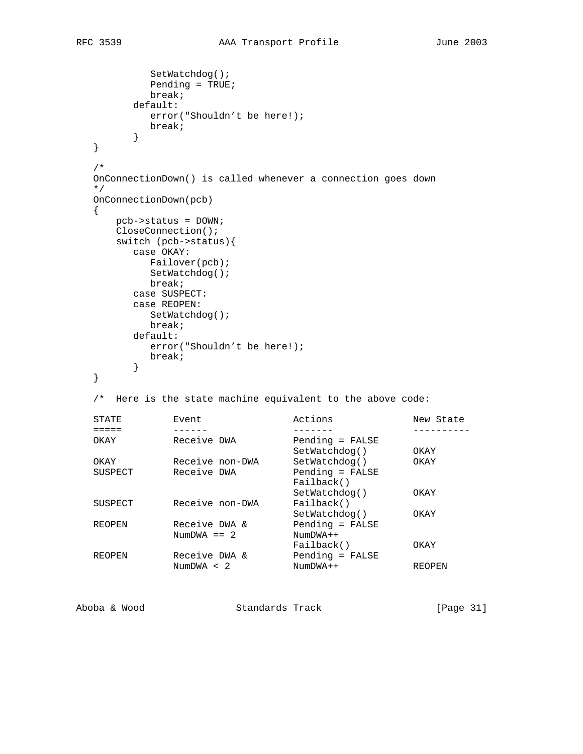```
 SetWatchdog();
           Pending = TRUE;
           break;
         default:
           error("Shouldn't be here!);
           break;
         }
   }
   /*
   OnConnectionDown() is called whenever a connection goes down
   */
   OnConnectionDown(pcb)
  \left\{ \right. pcb->status = DOWN;
      CloseConnection();
      switch (pcb->status){
        case OKAY:
          Failover(pcb);
           SetWatchdog();
           break;
         case SUSPECT:
         case REOPEN:
           SetWatchdog();
           break;
         default:
           error("Shouldn't be here!);
           break;
         }
   }
   /* Here is the state machine equivalent to the above code:
  STATE Event Event Actions New State
   ===== ------ ------- ----------
  OKAY Receive DWA Pending = FALSE
  ORAY CHARRY AND ACTUALLY AND MELLEUS MANUSICAL SETWATCHOOG (1 OKAY ORAY SETWATCHOOG (1 OKAY )
  OKAY Receive non-DWA SetWatchdog() OKAY<br>
SUSPECT Receive DWA Pending = FALSE
            Receive DWA Pending = FALSE
                                Failback()
                                SetWatchdog() OKAY
  SUSPECT Receive non-DWA Failback()
SetWatchdog() OKAY
REOPEN Receive DWA & Pending = FALSE
NumDWA = 2 NumDWA + + Failback() OKAY
REOPEN Receive DWA & Pending = FALSE
 NumDWA < 2 NumDWA++ REOPEN
```
Aboba & Wood Standards Track [Page 31]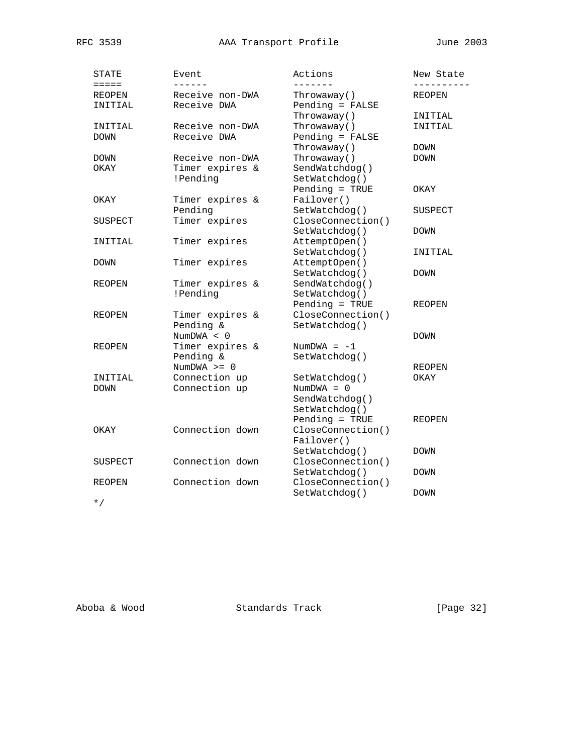| STATE             | Event                          | Actions                        | New State     |
|-------------------|--------------------------------|--------------------------------|---------------|
| =====             |                                |                                |               |
| REOPEN<br>INITIAL | Receive non-DWA<br>Receive DWA | Throwaway()<br>Pending = FALSE | <b>REOPEN</b> |
|                   |                                | Throwaway()                    | INITIAL       |
| INITIAL           | Receive non-DWA                | Throwaway()                    | INITIAL       |
| <b>DOWN</b>       | Receive DWA                    | Pending = FALSE                |               |
|                   |                                | Throwaway()                    | <b>DOWN</b>   |
| <b>DOWN</b>       | Receive non-DWA                | Throwaway()                    | <b>DOWN</b>   |
| OKAY              | Timer expires &                | SendWatchdog()                 |               |
|                   | !Pending                       | SetWatchdog()                  |               |
|                   |                                | Pending = TRUE                 | OKAY          |
| OKAY              | Timer expires &                | Failover()                     |               |
|                   | Pending                        | SetWatchdog()                  | SUSPECT       |
| SUSPECT           | Timer expires                  | CloseConnection()              |               |
|                   |                                | SetWatchdog()                  | <b>DOWN</b>   |
| INITIAL           | Timer expires                  | AttemptOpen()                  |               |
|                   |                                | SetWatchdog()                  | INITIAL       |
| <b>DOWN</b>       | Timer expires                  | AttemptOpen()                  |               |
|                   |                                | SetWatchdog()                  | DOWN          |
| REOPEN            | Timer expires &                | SendWatchdog()                 |               |
|                   | !Pending                       | SetWatchdog()                  |               |
|                   |                                | $Pending = TRUE$               | <b>REOPEN</b> |
| REOPEN            | Timer expires &                | CloseConnection()              |               |
|                   | Pending &                      | SetWatchdog()                  |               |
|                   | NumDWA < 0                     |                                | <b>DOWN</b>   |
| REOPEN            | Timer expires &                | NumDWA = $-1$                  |               |
|                   | Pending &                      | SetWatchdog()                  |               |
|                   | NumDWA $>= 0$                  |                                | REOPEN        |
| INITIAL           | Connection up                  | SetWatchdog()                  | OKAY          |
| <b>DOWN</b>       | Connection up                  | $NumDWA = 0$                   |               |
|                   |                                | SendWatchdog()                 |               |
|                   |                                | SetWatchdog()                  |               |
|                   |                                | Pending = TRUE                 | <b>REOPEN</b> |
| OKAY              | Connection down                | CloseConnection()              |               |
|                   |                                | Failover()                     |               |
|                   |                                | SetWatchdog()                  | DOWN          |
| <b>SUSPECT</b>    | Connection down                | CloseConnection()              |               |
|                   |                                | SetWatchdog()                  | <b>DOWN</b>   |
| REOPEN            | Connection down                | CloseConnection()              |               |
|                   |                                | SetWatchdog()                  | <b>DOWN</b>   |

\*/

Aboba & Wood Standards Track [Page 32]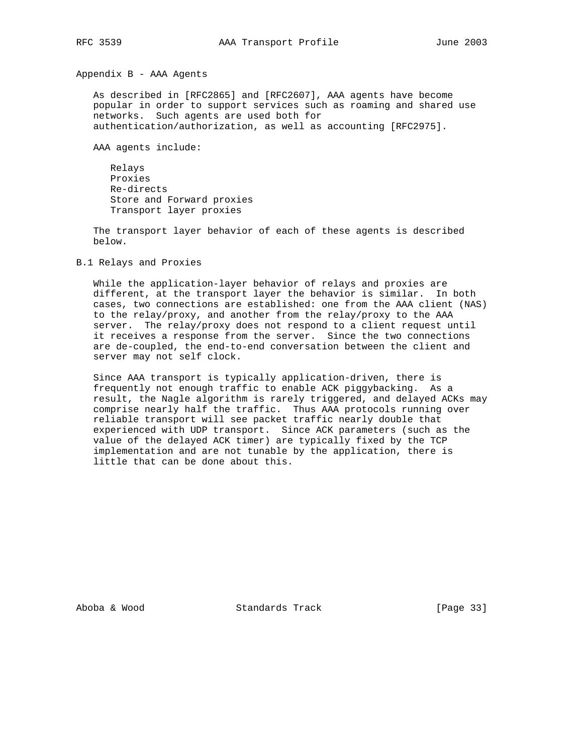Appendix B - AAA Agents

 As described in [RFC2865] and [RFC2607], AAA agents have become popular in order to support services such as roaming and shared use networks. Such agents are used both for authentication/authorization, as well as accounting [RFC2975].

AAA agents include:

 Relays Proxies Re-directs Store and Forward proxies Transport layer proxies

 The transport layer behavior of each of these agents is described below.

B.1 Relays and Proxies

 While the application-layer behavior of relays and proxies are different, at the transport layer the behavior is similar. In both cases, two connections are established: one from the AAA client (NAS) to the relay/proxy, and another from the relay/proxy to the AAA server. The relay/proxy does not respond to a client request until it receives a response from the server. Since the two connections are de-coupled, the end-to-end conversation between the client and server may not self clock.

 Since AAA transport is typically application-driven, there is frequently not enough traffic to enable ACK piggybacking. As a result, the Nagle algorithm is rarely triggered, and delayed ACKs may comprise nearly half the traffic. Thus AAA protocols running over reliable transport will see packet traffic nearly double that experienced with UDP transport. Since ACK parameters (such as the value of the delayed ACK timer) are typically fixed by the TCP implementation and are not tunable by the application, there is little that can be done about this.

Aboba & Wood Standards Track [Page 33]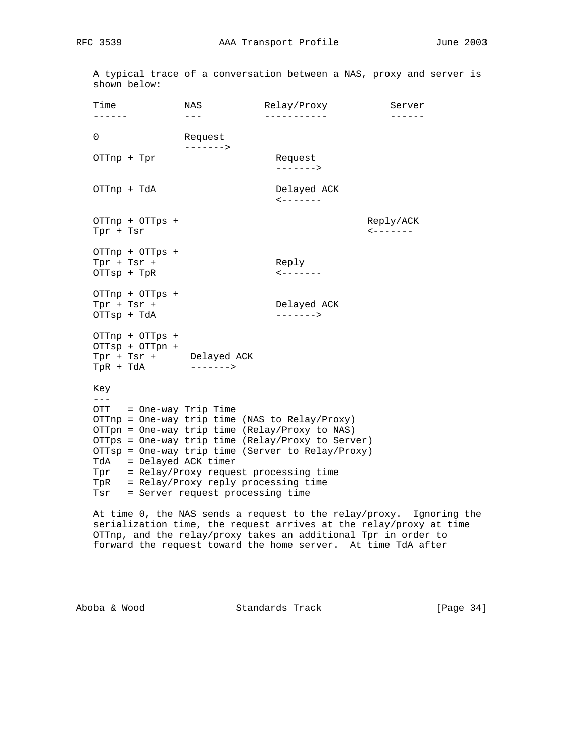A typical trace of a conversation between a NAS, proxy and server is shown below:

| Time<br>------                                                                                                                    | NAS<br>$\qquad \qquad - -$ | Relay/Proxy<br>------------                                                                                                                                                                                                                                                                        | Server<br>$- - - - - - -$ |
|-----------------------------------------------------------------------------------------------------------------------------------|----------------------------|----------------------------------------------------------------------------------------------------------------------------------------------------------------------------------------------------------------------------------------------------------------------------------------------------|---------------------------|
| 0                                                                                                                                 | Request<br>$------>$       |                                                                                                                                                                                                                                                                                                    |                           |
| OTTnp + Tpr                                                                                                                       |                            | Request<br>$------>$                                                                                                                                                                                                                                                                               |                           |
| OTTnp + TdA                                                                                                                       |                            | Delayed ACK<br>$\zeta$ - - - - - - -                                                                                                                                                                                                                                                               |                           |
| OTTnp + OTTps +<br>Tpr + Tsr                                                                                                      |                            |                                                                                                                                                                                                                                                                                                    | Reply/ACK                 |
| OTTnp + OTTps +<br>$Tpr + Tsr +$<br>OTTsp + TpR                                                                                   |                            | Reply<br>$- - - - - - - -$                                                                                                                                                                                                                                                                         |                           |
| OTTnp + OTTps +<br>$Tpr + Tsr +$<br>OTTsp + TdA                                                                                   |                            | Delayed ACK<br>$------>$                                                                                                                                                                                                                                                                           |                           |
| OTTnp + OTTps +<br>OTTsp + OTTpn +<br>Tpr + Tsr + Delayed ACK<br>$\texttt{TPR + TdA} \qquad \qquad \texttt{-----} \texttt{-----}$ |                            |                                                                                                                                                                                                                                                                                                    |                           |
| Key<br>$---$<br>OTT = One-way Trip Time<br>TdA = Delayed ACK timer<br>Tsr = Server request processing time                        |                            | OTTnp = One-way trip time (NAS to Relay/Proxy)<br>OTTpn = One-way trip time (Relay/Proxy to NAS)<br>OTTps = One-way trip time (Relay/Proxy to Server)<br>OTTsp = One-way trip time (Server to Relay/Proxy)<br>Tpr = Relay/Proxy request processing time<br>TpR = Relay/Proxy reply processing time |                           |

ay/proxy. Ignoring the serialization time, the request arrives at the relay/proxy at time OTTnp, and the relay/proxy takes an additional Tpr in order to forward the request toward the home server. At time TdA after

Aboba & Wood Standards Track [Page 34]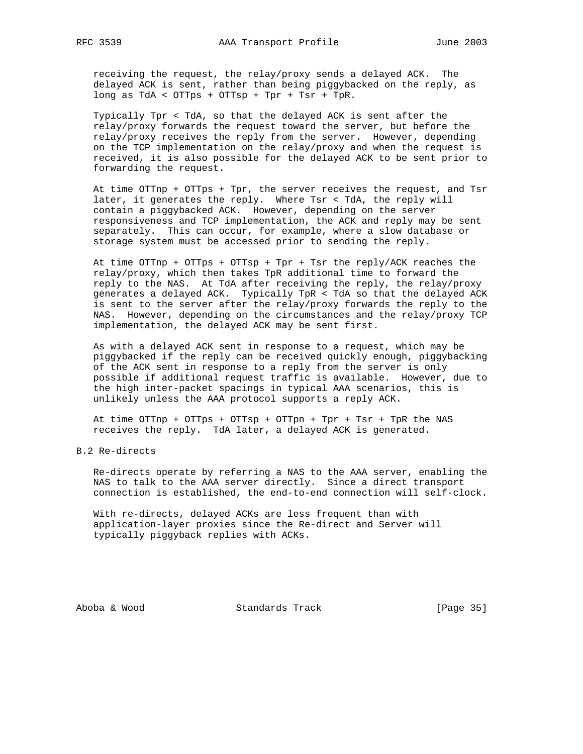receiving the request, the relay/proxy sends a delayed ACK. The delayed ACK is sent, rather than being piggybacked on the reply, as long as  $TdA <$  OTTps + OTTsp + Tpr + Tsr + TpR.

 Typically Tpr < TdA, so that the delayed ACK is sent after the relay/proxy forwards the request toward the server, but before the relay/proxy receives the reply from the server. However, depending on the TCP implementation on the relay/proxy and when the request is received, it is also possible for the delayed ACK to be sent prior to forwarding the request.

 At time OTTnp + OTTps + Tpr, the server receives the request, and Tsr later, it generates the reply. Where Tsr < TdA, the reply will contain a piggybacked ACK. However, depending on the server responsiveness and TCP implementation, the ACK and reply may be sent separately. This can occur, for example, where a slow database or storage system must be accessed prior to sending the reply.

At time OTTnp + OTTps + OTTsp + Tpr + Tsr the reply/ACK reaches the relay/proxy, which then takes TpR additional time to forward the reply to the NAS. At TdA after receiving the reply, the relay/proxy generates a delayed ACK. Typically TpR < TdA so that the delayed ACK is sent to the server after the relay/proxy forwards the reply to the NAS. However, depending on the circumstances and the relay/proxy TCP implementation, the delayed ACK may be sent first.

 As with a delayed ACK sent in response to a request, which may be piggybacked if the reply can be received quickly enough, piggybacking of the ACK sent in response to a reply from the server is only possible if additional request traffic is available. However, due to the high inter-packet spacings in typical AAA scenarios, this is unlikely unless the AAA protocol supports a reply ACK.

At time OTTnp + OTTps + OTTsp + OTTpn + Tpr + Tsr + TpR the NAS receives the reply. TdA later, a delayed ACK is generated.

B.2 Re-directs

 Re-directs operate by referring a NAS to the AAA server, enabling the NAS to talk to the AAA server directly. Since a direct transport connection is established, the end-to-end connection will self-clock.

 With re-directs, delayed ACKs are less frequent than with application-layer proxies since the Re-direct and Server will typically piggyback replies with ACKs.

Aboba & Wood Standards Track [Page 35]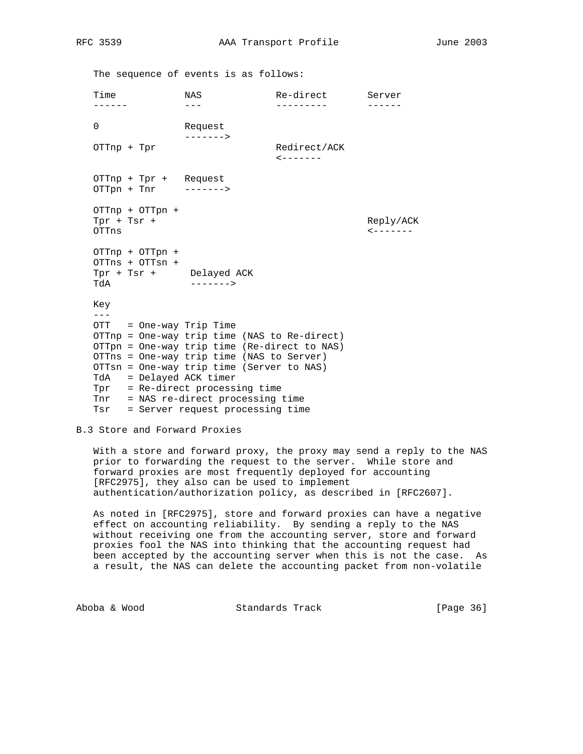The sequence of events is as follows: Time NAS Re-direct Server ------ --- --------- ------ 0 Request -------> OTTnp + Tpr Redirect/ACK  $\left\langle$  ------- OTTnp + Tpr + Request OTTpn + Tnr -------> OTTnp + OTTpn + Tpr + Tsr + Reply/ACK OTTns <------- OTTnp + OTTpn + OTTns + OTTsn + Tpr + Tsr + Delayed ACK TdA -------> Key  $-$  OTT = One-way Trip Time OTTnp = One-way trip time (NAS to Re-direct) OTTpn = One-way trip time (Re-direct to NAS) OTTns = One-way trip time (NAS to Server) OTTsn = One-way trip time (Server to NAS) TdA = Delayed ACK timer Tpr = Re-direct processing time Tnr = NAS re-direct processing time Tsr = Server request processing time

# B.3 Store and Forward Proxies

 With a store and forward proxy, the proxy may send a reply to the NAS prior to forwarding the request to the server. While store and forward proxies are most frequently deployed for accounting [RFC2975], they also can be used to implement authentication/authorization policy, as described in [RFC2607].

 As noted in [RFC2975], store and forward proxies can have a negative effect on accounting reliability. By sending a reply to the NAS without receiving one from the accounting server, store and forward proxies fool the NAS into thinking that the accounting request had been accepted by the accounting server when this is not the case. As a result, the NAS can delete the accounting packet from non-volatile

Aboba & Wood Standards Track [Page 36]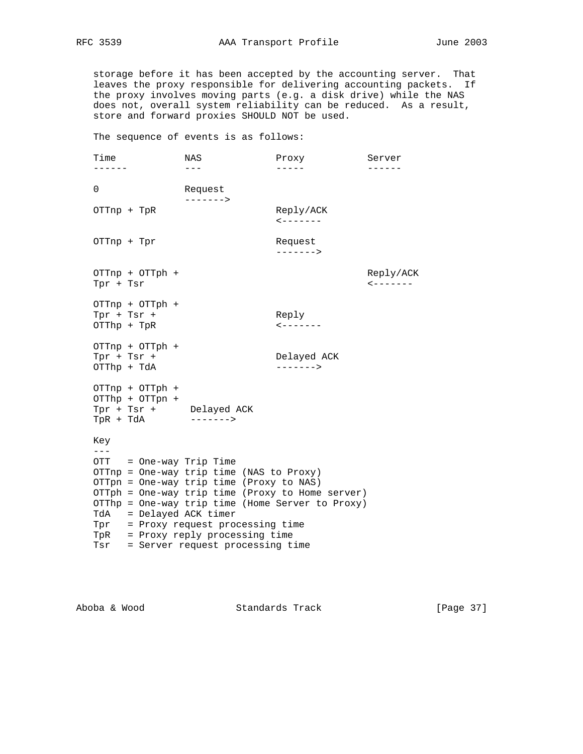storage before it has been accepted by the accounting server. That leaves the proxy responsible for delivering accounting packets. If the proxy involves moving parts (e.g. a disk drive) while the NAS does not, overall system reliability can be reduced. As a result, store and forward proxies SHOULD NOT be used.

The sequence of events is as follows:

| Time<br>------                                                             | NAS<br>$- - -$                                                                                                                                                                                                                                                                                           | Proxy<br>$- - - - -$           | Server<br>------                      |
|----------------------------------------------------------------------------|----------------------------------------------------------------------------------------------------------------------------------------------------------------------------------------------------------------------------------------------------------------------------------------------------------|--------------------------------|---------------------------------------|
| 0                                                                          | Request                                                                                                                                                                                                                                                                                                  |                                |                                       |
| OTTnp + TpR                                                                | $------>$                                                                                                                                                                                                                                                                                                | Reply/ACK<br>$- - - - - - - -$ |                                       |
| OTTnp + Tpr                                                                |                                                                                                                                                                                                                                                                                                          | Request<br>$------>$           |                                       |
| OTTnp + OTTph +<br>Tpr + Tsr                                               |                                                                                                                                                                                                                                                                                                          |                                | Reply/ACK<br>$\leftarrow$ - - - - - - |
| OTTnp + OTTph +<br>$Tpr + Tsr +$<br>OTThp + TpR                            |                                                                                                                                                                                                                                                                                                          | Reply<br>$- - - - - - - -$     |                                       |
| OTTnp + OTTph +<br>$Tpr + Tsr +$<br>OTThp + TdA                            |                                                                                                                                                                                                                                                                                                          | Delayed ACK<br>$------>$       |                                       |
| OTTnp + OTTph +<br>OTThp + OTTpn +<br>Tpr + Tsr + Delayed ACK<br>TpR + TdA | -------->                                                                                                                                                                                                                                                                                                |                                |                                       |
| Key<br>$---$                                                               |                                                                                                                                                                                                                                                                                                          |                                |                                       |
| OTT = One-way Trip Time<br>TdA = Delayed ACK timer<br>Tpr<br>Tsr           | OTTnp = One-way trip time (NAS to Proxy)<br>OTTpn = One-way trip time (Proxy to NAS)<br>OTTph = One-way trip time (Proxy to Home server)<br>OTThp = One-way trip time (Home Server to Proxy)<br>= Proxy request processing time<br>TpR = Proxy reply processing time<br>= Server request processing time |                                |                                       |

Aboba & Wood Standards Track [Page 37]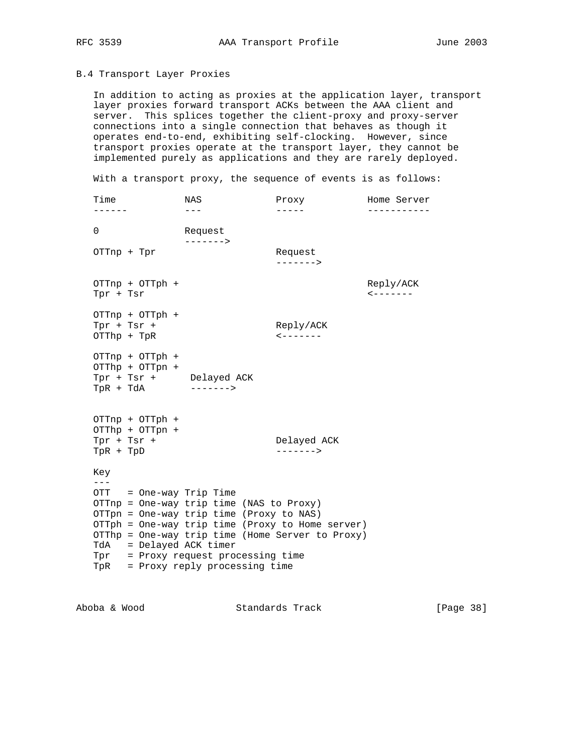## B.4 Transport Layer Proxies

 In addition to acting as proxies at the application layer, transport layer proxies forward transport ACKs between the AAA client and server. This splices together the client-proxy and proxy-server connections into a single connection that behaves as though it operates end-to-end, exhibiting self-clocking. However, since transport proxies operate at the transport layer, they cannot be implemented purely as applications and they are rarely deployed.

With a transport proxy, the sequence of events is as follows:

| NAS                                                                        | Proxy                          | Home Server                                                                                                                                                                                                                                                              |
|----------------------------------------------------------------------------|--------------------------------|--------------------------------------------------------------------------------------------------------------------------------------------------------------------------------------------------------------------------------------------------------------------------|
| $---$                                                                      | -----                          | ----------                                                                                                                                                                                                                                                               |
| Request<br>------->                                                        |                                |                                                                                                                                                                                                                                                                          |
|                                                                            | Request<br>$------>$           |                                                                                                                                                                                                                                                                          |
| OTTnp + OTTph +                                                            |                                | Reply/ACK<br>$- - - - - - - -$                                                                                                                                                                                                                                           |
| OTTnp + OTTph +                                                            | Reply/ACK<br>$- - - - - - - -$ |                                                                                                                                                                                                                                                                          |
| OTTnp + OTTph +<br>OTThp + OTTpn +<br>Tpr + Tsr + Delayed ACK<br>$------>$ |                                |                                                                                                                                                                                                                                                                          |
| OTTnp + OTTph +<br>OTThp + OTTpn +                                         | Delayed ACK<br>$------>$       |                                                                                                                                                                                                                                                                          |
| OTT = One-way Trip Time<br>TdA = Delayed ACK timer                         |                                |                                                                                                                                                                                                                                                                          |
|                                                                            |                                | OTTnp = One-way trip time (NAS to Proxy)<br>OTTpn = One-way trip time (Proxy to NAS)<br>OTTph = One-way trip time (Proxy to Home server)<br>OTThp = One-way trip time (Home Server to Proxy)<br>Tpr = Proxy request processing time<br>TpR = Proxy reply processing time |

Aboba & Wood Standards Track [Page 38]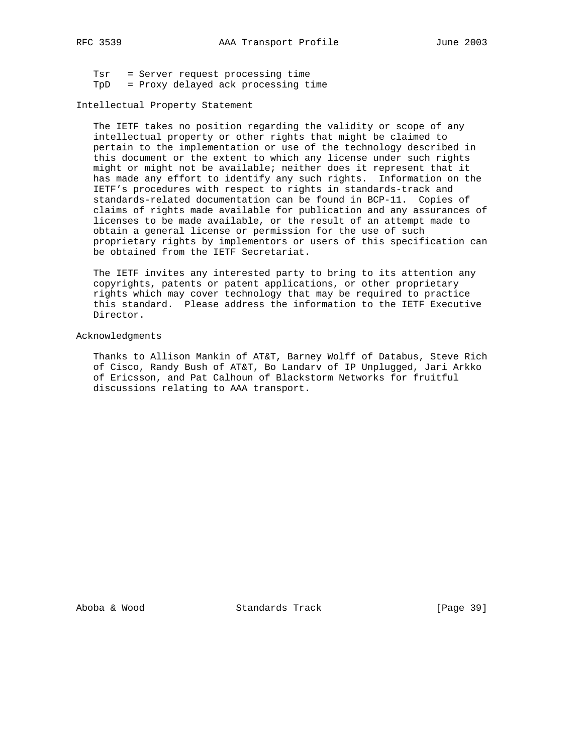Tsr = Server request processing time TpD = Proxy delayed ack processing time

#### Intellectual Property Statement

 The IETF takes no position regarding the validity or scope of any intellectual property or other rights that might be claimed to pertain to the implementation or use of the technology described in this document or the extent to which any license under such rights might or might not be available; neither does it represent that it has made any effort to identify any such rights. Information on the IETF's procedures with respect to rights in standards-track and standards-related documentation can be found in BCP-11. Copies of claims of rights made available for publication and any assurances of licenses to be made available, or the result of an attempt made to obtain a general license or permission for the use of such proprietary rights by implementors or users of this specification can be obtained from the IETF Secretariat.

 The IETF invites any interested party to bring to its attention any copyrights, patents or patent applications, or other proprietary rights which may cover technology that may be required to practice this standard. Please address the information to the IETF Executive Director.

#### Acknowledgments

 Thanks to Allison Mankin of AT&T, Barney Wolff of Databus, Steve Rich of Cisco, Randy Bush of AT&T, Bo Landarv of IP Unplugged, Jari Arkko of Ericsson, and Pat Calhoun of Blackstorm Networks for fruitful discussions relating to AAA transport.

Aboba & Wood Standards Track [Page 39]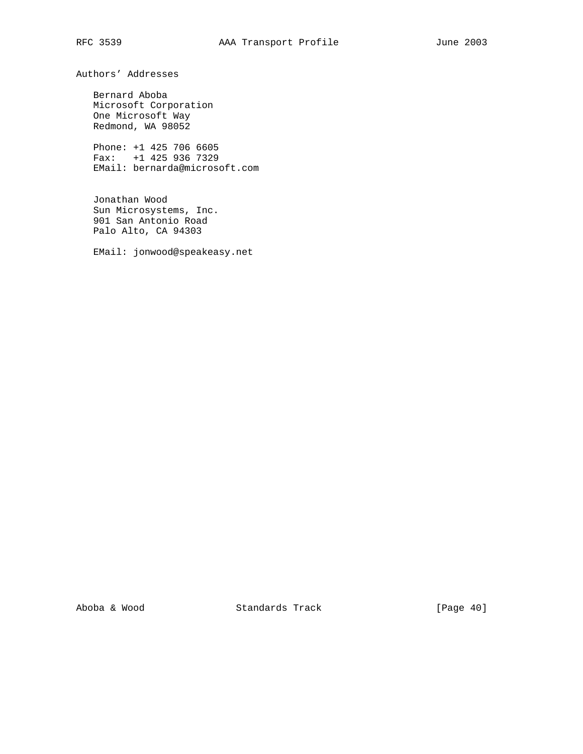Authors' Addresses

 Bernard Aboba Microsoft Corporation One Microsoft Way Redmond, WA 98052

 Phone: +1 425 706 6605 Fax: +1 425 936 7329 EMail: bernarda@microsoft.com

 Jonathan Wood Sun Microsystems, Inc. 901 San Antonio Road Palo Alto, CA 94303

EMail: jonwood@speakeasy.net

Aboba & Wood Standards Track [Page 40]